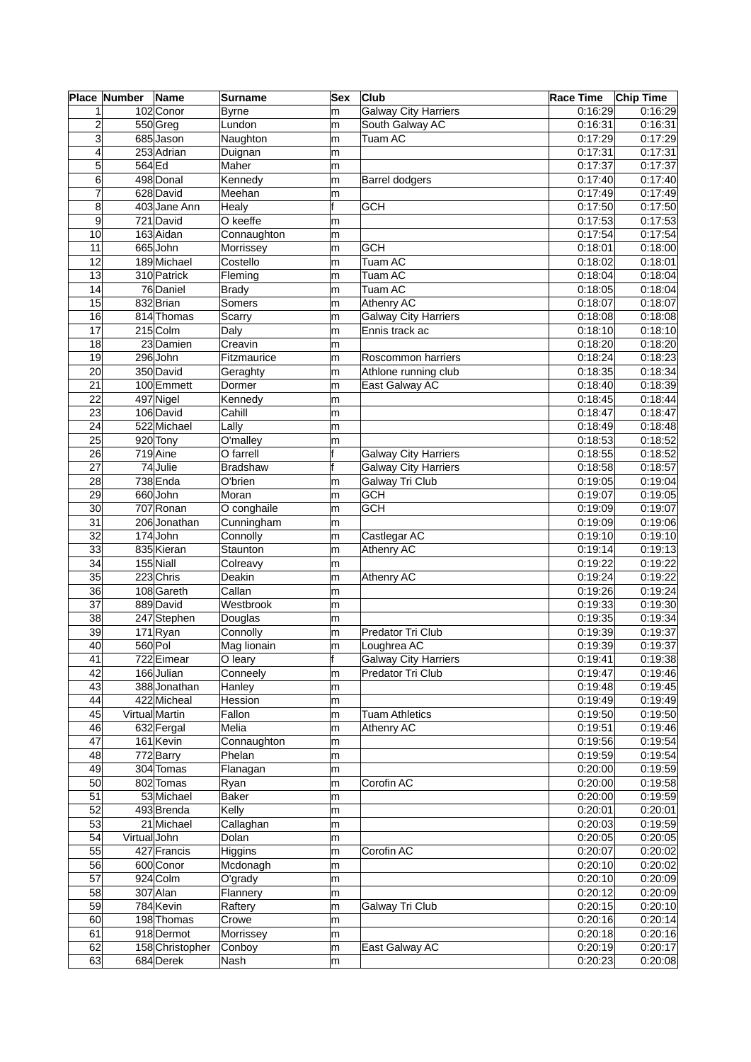|                 | Place Number | Name                  | <b>Surname</b>  | Sex | <b>Club</b>                 | <b>Race Time</b> | <b>Chip Time</b> |
|-----------------|--------------|-----------------------|-----------------|-----|-----------------------------|------------------|------------------|
| $\mathbf{1}$    |              | 102 Conor             | <b>Byrne</b>    | m   | <b>Galway City Harriers</b> | 0.16.29          | 0.16:29          |
| $\overline{c}$  |              | 550 Greg              | Lundon          | m   | South Galway AC             | 0:16:31          | 0.16.31          |
| 3               |              | 685 Jason             | Naughton        | m   | <b>Tuam AC</b>              | 0:17:29          | 0:17:29          |
| $\overline{4}$  |              | 253 Adrian            | Duignan         | m   |                             | 0:17:31          | 0:17:31          |
| $5\vert$        | 564 Ed       |                       | Maher           | m   |                             | 0:17:37          | 0:17:37          |
| 6               |              | 498 Donal             | Kennedy         | m   | <b>Barrel dodgers</b>       | 0:17:40          | 0:17:40          |
| 7               |              | 628 David             | Meehan          | m   |                             | 0:17:49          | 0:17:49          |
| 8               |              | 403 Jane Ann          | Healy           | f   | <b>GCH</b>                  | 0:17:50          | 0:17:50          |
| 9               |              | 721 David             | O keeffe        | m   |                             | 0:17:53          | 0:17:53          |
| 10              |              | 163 Aidan             | Connaughton     | m   |                             | 0:17:54          | 0:17:54          |
| 11              |              | 665John               | Morrissey       | m   | <b>GCH</b>                  | 0:18:01          | 0:18:00          |
| 12              |              | 189 Michael           | Costello        |     | Tuam AC                     | 0:18:02          | 0:18:01          |
|                 |              |                       |                 | m   |                             |                  |                  |
| 13              |              | 310 Patrick           | Fleming         | m   | Tuam AC                     | 0.18.04          | 0:18:04          |
| 14              |              | 76 Daniel             | <b>Brady</b>    | m   | Tuam AC                     | 0:18:05          | 0:18:04          |
| 15              |              | 832 Brian             | Somers          | m   | Athenry AC                  | 0.18:07          | 0.18:07          |
| 16              |              | 814 Thomas            | Scarry          | m   | <b>Galway City Harriers</b> | 0:18:08          | 0:18:08          |
| 17              |              | $215$ Colm            | Daly            | m   | Ennis track ac              | 0:18:10          | 0.18:10          |
| 18              |              | 23 Damien             | Creavin         | m   |                             | 0:18:20          | 0.18:20          |
| 19              |              | 296John               | Fitzmaurice     | m   | Roscommon harriers          | 0:18:24          | 0.18.23          |
| 20              |              | 350 David             | Geraghty        | m   | Athlone running club        | 0:18:35          | 0:18:34          |
| 21              |              | 100 Emmett            | Dormer          | m   | East Galway AC              | 0:18:40          | 0:18:39          |
| 22              |              | 497 Nigel             | Kennedy         | m   |                             | 0:18:45          | 0:18:44          |
| 23              |              | 106 David             | Cahill          | m   |                             | 0:18:47          | 0:18:47          |
| 24              |              | 522 Michael           | Lally           | m   |                             | 0.18.49          | 0:18:48          |
| 25              |              | 920 Tony              | O'malley        | m   |                             | 0:18:53          | 0:18:52          |
| 26              |              | 719 Aine              | O farrell       |     | <b>Galway City Harriers</b> | 0:18:55          | 0:18:52          |
| 27              |              | 74 Julie              | <b>Bradshaw</b> | f   | <b>Galway City Harriers</b> | 0:18:58          | 0:18:57          |
| 28              |              | 738 Enda              | O'brien         | m   | Galway Tri Club             | 0:19:05          | 0:19:04          |
| 29              |              | 660John               | Moran           | m   | <b>GCH</b>                  | 0:19:07          | 0:19:05          |
| 30              |              | 707 Ronan             | O conghaile     | m   | $\overline{\text{GCH}}$     | 0:19:09          | 0:19:07          |
| $\overline{31}$ |              | 206Jonathan           | Cunningham      | m   |                             | 0:19:09          | 0:19:06          |
| $\overline{32}$ |              | 174John               | Connolly        | m   | Castlegar AC                | 0:19:10          | 0:19:10          |
|                 |              |                       |                 |     |                             |                  |                  |
| 33              |              | 835 Kieran            | Staunton        | m   | Athenry AC                  | 0.19.14          | 0.19.13          |
| 34              |              | 155 Niall             | Colreavy        | m   |                             | 0:19:22          | 0:19:22          |
| 35              |              | 223 Chris             | Deakin          | m   | Athenry AC                  | 0:19:24          | 0:19:22          |
| 36              |              | 108 Gareth            | Callan          | m   |                             | 0:19:26          | 0:19:24          |
| $\overline{37}$ |              | 889 David             | Westbrook       | m   |                             | 0:19:33          | 0.19:30          |
| 38              |              | 247 Stephen           | Douglas         | m   |                             | 0:19:35          | 0:19:34          |
| 39              |              | $171$ <sub>Ryan</sub> | Connolly        | m   | Predator Tri Club           | 0:19:39          | 0:19:37          |
| 40              | 560 Pol      |                       | Mag lionain     | m   | Loughrea AC                 | 0:19:39          | 0:19:37          |
| 41              |              | 722 Eimear            | O leary         | Π   | Galway City Harriers        | 0:19:41          | 0:19:38          |
| 42              |              | 166 Julian            | Conneely        | m   | Predator Tri Club           | 0:19:47          | 0:19:46          |
| 43              |              | 388Jonathan           | Hanley          | m   |                             | 0:19:48          | 0:19:45          |
| 44              |              | 422 Micheal           | Hession         | m   |                             | 0:19:49          | 0:19:49          |
| 45              |              | Virtual Martin        | Fallon          | m   | <b>Tuam Athletics</b>       | 0:19:50          | 0.19:50          |
| 46              |              | 632 Fergal            | Melia           | m   | Athenry AC                  | 0:19:51          | 0.19.46          |
| 47              |              | 161 Kevin             | Connaughton     | m   |                             | 0:19:56          | 0:19:54          |
| 48              |              | 772 Barry             | Phelan          | m   |                             | 0:19:59          | 0:19:54          |
| 49              |              | 304 Tomas             | Flanagan        | m   |                             | 0:20:00          | 0.19:59          |
| 50              |              | 802 Tomas             | Ryan            | m   | Corofin AC                  | 0:20:00          | 0.19:58          |
| 51              |              | 53 Michael            | <b>Baker</b>    | m   |                             | 0:20:00          | 0.19.59          |
| 52              |              | 493 Brenda            | Kelly           | m   |                             | 0:20:01          | 0:20:01          |
| 53              |              | 21 Michael            | Callaghan       | m   |                             | 0:20:03          | 0:19:59          |
|                 |              |                       |                 |     |                             |                  |                  |
| 54              | Virtual John |                       | Dolan           | m   |                             | 0:20:05          | 0.20:05          |
| 55              |              | 427 Francis           | Higgins         | m   | Corofin AC                  | 0:20:07          | 0:20:02          |
| 56              |              | 600 Conor             | Mcdonagh        | m   |                             | 0:20:10          | 0.20:02          |
| 57              |              | 924 Colm              | O'grady         | m   |                             | 0:20:10          | 0:20:09          |
| 58              |              | 307 Alan              | Flannery        | m   |                             | 0:20:12          | 0.20:09          |
| 59              |              | 784 Kevin             | Raftery         | m   | Galway Tri Club             | 0:20:15          | 0:20:10          |
| 60              |              | 198 Thomas            | Crowe           | m   |                             | 0:20:16          | 0:20:14          |
| 61              |              | 918 Dermot            | Morrissey       | m   |                             | 0:20:18          | 0:20:16          |
| 62              |              | 158 Christopher       | Conboy          | m   | East Galway AC              | 0:20:19          | 0:20:17          |
| 63              |              | 684 Derek             | Nash            | m   |                             | 0:20:23          | 0.20:08          |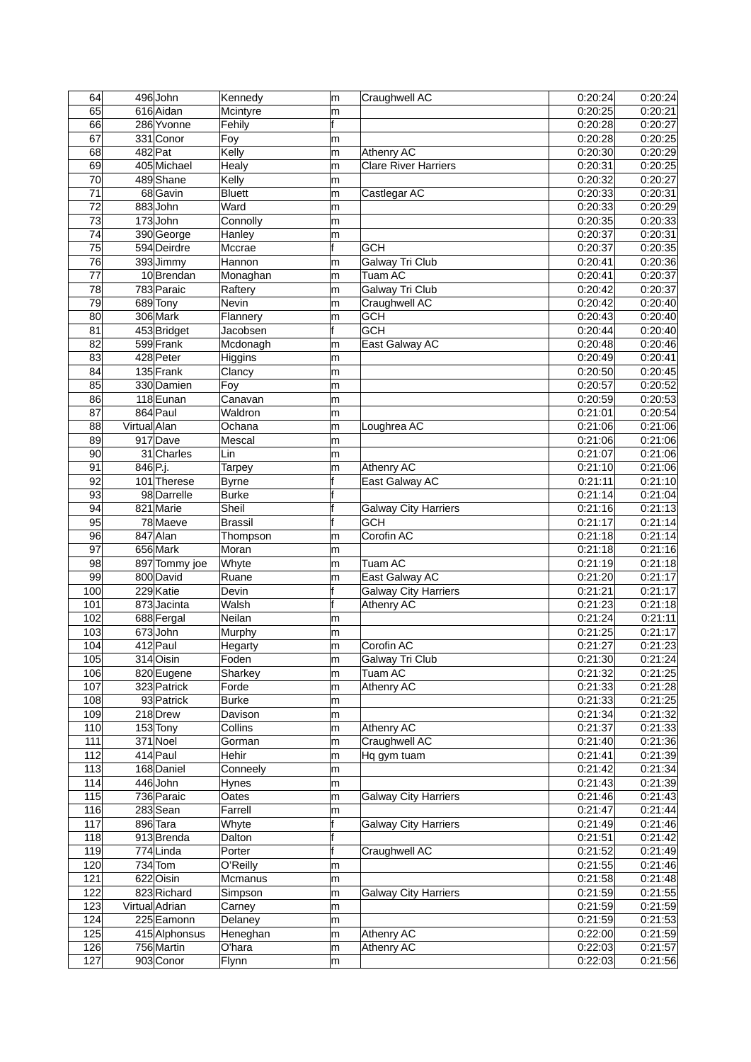| 616 Aidan<br>m<br>f<br>0:20:27<br>66<br>286 Yvonne<br>Fehily<br>0:20:28<br>0:20:25<br>67<br>331 Conor<br>0:20:28<br>Foy<br>m<br>68<br>$482$ Pat<br>Kelly<br>0:20:29<br>Athenry AC<br>0:20:30<br>m<br>69<br>0:20:31<br>0:20:25<br>405 Michael<br>Healy<br><b>Clare River Harriers</b><br>m<br>70<br>489 Shane<br>Kelly<br>0:20:32<br>0:20:27<br>m<br>$\overline{71}$<br>68 Gavin<br>0:20:31<br><b>Bluett</b><br>0:20:33<br>Castlegar AC<br>m<br>0:20:29<br>72<br>883John<br>Ward<br>0:20:33<br>m<br>73<br>0:20:33<br>$173$ John<br>Connolly<br>0:20:35<br>m<br>74<br>390 George<br>0:20:31<br>0:20:37<br>Hanley<br>m<br>75<br>594 Deirdre<br>f<br>0:20:35<br>Mccrae<br><b>GCH</b><br>0:20:37<br>0:20:36<br>76<br>393 Jimmy<br>0:20:41<br>Hannon<br>Galway Tri Club<br>m<br>0:20:37<br>77<br><b>Tuam AC</b><br>0:20:41<br>10Brendan<br>Monaghan<br>m<br>78<br>0:20:42<br>0:20:37<br>783 Paraic<br>Raftery<br>Galway Tri Club<br>m<br>79<br>689 Tony<br>Craughwell AC<br>Nevin<br>0:20:42<br>0.20:40<br>m<br>80<br>306 Mark<br>0:20:43<br>0:20:40<br>Flannery<br><b>GCH</b><br>m<br>f<br>$\overline{\text{GCH}}$<br>0:20:44<br>0:20:40<br>81<br>453 Bridget<br>Jacobsen<br>82<br>599 Frank<br>0:20:48<br>0:20:46<br>Mcdonagh<br>East Galway AC<br>m<br>428 Peter<br>0:20:41<br>83<br>0:20:49<br>Higgins<br>m<br>84<br>0:20:45<br>135 Frank<br>0:20:50<br>Clancy<br>m<br>85<br>0:20:57<br>0:20:52<br>330 Damien<br>Foy<br>m<br>0:20:59<br>0:20:53<br>86<br>118 Eunan<br>Canavan<br>m<br>0:20:54<br>87<br>864 Paul<br>Waldron<br>0:21:01<br>m<br>0:21:06<br>88<br>Virtual Alan<br>Ochana<br>0:21:06<br>Loughrea AC<br>m<br>0:21:06<br>89<br>917 Dave<br>Mescal<br>0:21:06<br>m<br>0:21:07<br>0:21:06<br>90<br>31 Charles<br>Lin<br>m<br>$\overline{91}$<br>846 P.j.<br>0:21:10<br>0:21:06<br>Athenry AC<br><b>Tarpey</b><br>m<br>f<br>92<br>101 Therese<br>East Galway AC<br>0:21:11<br>0:21:10<br><b>Byrne</b><br>98 Darrelle<br>0:21:14<br>0:21:04<br>93<br><b>Burke</b><br>f<br>94<br>821 Marie<br>Sheil<br>0:21:16<br>0:21:13<br><b>Galway City Harriers</b><br>95<br>78 Maeve<br><b>GCH</b><br>0:21:14<br>0:21:17<br><b>Brassil</b><br>96<br>847 Alan<br>Corofin AC<br>0:21:18<br>0:21:14<br>Thompson<br>m<br>$\overline{97}$<br>656 Mark<br>0:21:18<br>0:21:16<br>Moran<br>m<br>0:21:19<br>0:21:18<br>98<br>Whyte<br>Tuam AC<br>897 Tommy joe<br>m<br>99<br>East Galway AC<br>0:21:17<br>800 David<br>0:21:20<br>Ruane<br>m<br>100<br>229 Katie<br>f<br>0:21:17<br><b>Galway City Harriers</b><br>0:21:21<br>Devin<br>101<br>f<br>873 Jacinta<br>Walsh<br>Athenry AC<br>0:21:23<br>0.21:18<br>102<br>0:21:24<br>0:21:11<br>688 Fergal<br>Neilan<br>m<br>103<br>673John<br>0:21:25<br>0:21:17<br>Murphy<br>m<br>104<br>412 Paul<br>Corofin AC<br>0:21:27<br>0.21:23<br>Hegarty<br>m<br>105<br>314 Oisin<br>0:21:30<br>Galway Tri Club<br>Foden<br>m<br>106<br>0:21:32<br>820 Eugene<br>Tuam AC<br>0:21:25<br>Sharkey<br>m<br>323 Patrick<br>107<br>0:21:33<br>0.21:28<br>Forde<br>Athenry AC<br>m<br>108<br>93 Patrick<br><b>Burke</b><br>0.21.33<br>0.21:25<br>m<br>109<br>0:21:34<br>0:21:32<br>218 Drew<br>Davison<br>m<br>110<br>$153$ Tony<br>Athenry AC<br>0:21:37<br>0:21:33<br>Collins<br>m<br>111<br>$371$ Noel<br>Gorman<br>Craughwell AC<br>0:21:36<br>0:21:40<br>m<br>112<br>414 Paul<br>Hehir<br>0:21:41<br>0:21:39<br>Hq gym tuam<br>m<br>0:21:42<br>113<br>168 Daniel<br>Conneely<br>0:21:34<br>m<br>114<br>446John<br>0.21.43<br>0.21.39<br>Hynes<br>m<br>115<br>736 Paraic<br>0.21:43<br>Oates<br><b>Galway City Harriers</b><br>0.21.46<br>m<br>116<br>283 Sean<br>0:21:47<br>Farrell<br>0:21:44<br>m<br>117<br>896 Tara<br><b>Galway City Harriers</b><br>0.21.49<br>0.21:46<br>Whyte<br>f<br>0:21:51<br>0:21:42<br>118<br>913Brenda<br>Dalton<br>f<br>119<br>$\overline{774}$ Linda<br>Craughwell AC<br>0:21:52<br>0.21:49<br>Porter<br>$734$ Tom<br>120<br>O'Reilly<br>0:21:55<br>m<br>121<br>622 Oisin<br>0.21.58<br>0:21:48<br>Mcmanus<br>m<br>122<br>823 Richard<br>0.21.59<br>0:21:55<br><b>Galway City Harriers</b><br>Simpson<br>m<br>0:21:59<br>123<br>Virtual Adrian<br>0.21:59<br>Carney<br>m<br>124<br>225 Eamonn<br>0.21.59<br>0.21:53<br>Delaney<br>m<br>125<br>0:22:00<br>0.21:59<br>415 Alphonsus<br>Heneghan<br>Athenry AC<br>m<br>756 Martin<br>126<br>O'hara<br>Athenry AC<br>0:22:03<br>0:21:57<br>m<br>127<br>903 Conor<br>Flynn<br>0:22:03<br>0:21:56<br>m | 64 | 496 John | Kennedy  | m | Craughwell AC | 0:20:24 | 0:20:24 |
|-----------------------------------------------------------------------------------------------------------------------------------------------------------------------------------------------------------------------------------------------------------------------------------------------------------------------------------------------------------------------------------------------------------------------------------------------------------------------------------------------------------------------------------------------------------------------------------------------------------------------------------------------------------------------------------------------------------------------------------------------------------------------------------------------------------------------------------------------------------------------------------------------------------------------------------------------------------------------------------------------------------------------------------------------------------------------------------------------------------------------------------------------------------------------------------------------------------------------------------------------------------------------------------------------------------------------------------------------------------------------------------------------------------------------------------------------------------------------------------------------------------------------------------------------------------------------------------------------------------------------------------------------------------------------------------------------------------------------------------------------------------------------------------------------------------------------------------------------------------------------------------------------------------------------------------------------------------------------------------------------------------------------------------------------------------------------------------------------------------------------------------------------------------------------------------------------------------------------------------------------------------------------------------------------------------------------------------------------------------------------------------------------------------------------------------------------------------------------------------------------------------------------------------------------------------------------------------------------------------------------------------------------------------------------------------------------------------------------------------------------------------------------------------------------------------------------------------------------------------------------------------------------------------------------------------------------------------------------------------------------------------------------------------------------------------------------------------------------------------------------------------------------------------------------------------------------------------------------------------------------------------------------------------------------------------------------------------------------------------------------------------------------------------------------------------------------------------------------------------------------------------------------------------------------------------------------------------------------------------------------------------------------------------------------------------------------------------------------------------------------------------------------------------------------------------------------------------------------------------------------------------------------------------------------------------------------------------------------------------------------------------------------------------------------------------------------------------------------------------------------------------------------------------------------------------------------------------------------------------------------------------------------------------------------------------------------------------------------------------------------------------------------------|----|----------|----------|---|---------------|---------|---------|
|                                                                                                                                                                                                                                                                                                                                                                                                                                                                                                                                                                                                                                                                                                                                                                                                                                                                                                                                                                                                                                                                                                                                                                                                                                                                                                                                                                                                                                                                                                                                                                                                                                                                                                                                                                                                                                                                                                                                                                                                                                                                                                                                                                                                                                                                                                                                                                                                                                                                                                                                                                                                                                                                                                                                                                                                                                                                                                                                                                                                                                                                                                                                                                                                                                                                                                                                                                                                                                                                                                                                                                                                                                                                                                                                                                                                                                                                                                                                                                                                                                                                                                                                                                                                                                                                                                                                                                                                     | 65 |          | Mcintyre |   |               | 0:20:25 | 0:20:21 |
|                                                                                                                                                                                                                                                                                                                                                                                                                                                                                                                                                                                                                                                                                                                                                                                                                                                                                                                                                                                                                                                                                                                                                                                                                                                                                                                                                                                                                                                                                                                                                                                                                                                                                                                                                                                                                                                                                                                                                                                                                                                                                                                                                                                                                                                                                                                                                                                                                                                                                                                                                                                                                                                                                                                                                                                                                                                                                                                                                                                                                                                                                                                                                                                                                                                                                                                                                                                                                                                                                                                                                                                                                                                                                                                                                                                                                                                                                                                                                                                                                                                                                                                                                                                                                                                                                                                                                                                                     |    |          |          |   |               |         |         |
|                                                                                                                                                                                                                                                                                                                                                                                                                                                                                                                                                                                                                                                                                                                                                                                                                                                                                                                                                                                                                                                                                                                                                                                                                                                                                                                                                                                                                                                                                                                                                                                                                                                                                                                                                                                                                                                                                                                                                                                                                                                                                                                                                                                                                                                                                                                                                                                                                                                                                                                                                                                                                                                                                                                                                                                                                                                                                                                                                                                                                                                                                                                                                                                                                                                                                                                                                                                                                                                                                                                                                                                                                                                                                                                                                                                                                                                                                                                                                                                                                                                                                                                                                                                                                                                                                                                                                                                                     |    |          |          |   |               |         |         |
|                                                                                                                                                                                                                                                                                                                                                                                                                                                                                                                                                                                                                                                                                                                                                                                                                                                                                                                                                                                                                                                                                                                                                                                                                                                                                                                                                                                                                                                                                                                                                                                                                                                                                                                                                                                                                                                                                                                                                                                                                                                                                                                                                                                                                                                                                                                                                                                                                                                                                                                                                                                                                                                                                                                                                                                                                                                                                                                                                                                                                                                                                                                                                                                                                                                                                                                                                                                                                                                                                                                                                                                                                                                                                                                                                                                                                                                                                                                                                                                                                                                                                                                                                                                                                                                                                                                                                                                                     |    |          |          |   |               |         |         |
|                                                                                                                                                                                                                                                                                                                                                                                                                                                                                                                                                                                                                                                                                                                                                                                                                                                                                                                                                                                                                                                                                                                                                                                                                                                                                                                                                                                                                                                                                                                                                                                                                                                                                                                                                                                                                                                                                                                                                                                                                                                                                                                                                                                                                                                                                                                                                                                                                                                                                                                                                                                                                                                                                                                                                                                                                                                                                                                                                                                                                                                                                                                                                                                                                                                                                                                                                                                                                                                                                                                                                                                                                                                                                                                                                                                                                                                                                                                                                                                                                                                                                                                                                                                                                                                                                                                                                                                                     |    |          |          |   |               |         |         |
|                                                                                                                                                                                                                                                                                                                                                                                                                                                                                                                                                                                                                                                                                                                                                                                                                                                                                                                                                                                                                                                                                                                                                                                                                                                                                                                                                                                                                                                                                                                                                                                                                                                                                                                                                                                                                                                                                                                                                                                                                                                                                                                                                                                                                                                                                                                                                                                                                                                                                                                                                                                                                                                                                                                                                                                                                                                                                                                                                                                                                                                                                                                                                                                                                                                                                                                                                                                                                                                                                                                                                                                                                                                                                                                                                                                                                                                                                                                                                                                                                                                                                                                                                                                                                                                                                                                                                                                                     |    |          |          |   |               |         |         |
|                                                                                                                                                                                                                                                                                                                                                                                                                                                                                                                                                                                                                                                                                                                                                                                                                                                                                                                                                                                                                                                                                                                                                                                                                                                                                                                                                                                                                                                                                                                                                                                                                                                                                                                                                                                                                                                                                                                                                                                                                                                                                                                                                                                                                                                                                                                                                                                                                                                                                                                                                                                                                                                                                                                                                                                                                                                                                                                                                                                                                                                                                                                                                                                                                                                                                                                                                                                                                                                                                                                                                                                                                                                                                                                                                                                                                                                                                                                                                                                                                                                                                                                                                                                                                                                                                                                                                                                                     |    |          |          |   |               |         |         |
| 0.21:24<br>0.21:46                                                                                                                                                                                                                                                                                                                                                                                                                                                                                                                                                                                                                                                                                                                                                                                                                                                                                                                                                                                                                                                                                                                                                                                                                                                                                                                                                                                                                                                                                                                                                                                                                                                                                                                                                                                                                                                                                                                                                                                                                                                                                                                                                                                                                                                                                                                                                                                                                                                                                                                                                                                                                                                                                                                                                                                                                                                                                                                                                                                                                                                                                                                                                                                                                                                                                                                                                                                                                                                                                                                                                                                                                                                                                                                                                                                                                                                                                                                                                                                                                                                                                                                                                                                                                                                                                                                                                                                  |    |          |          |   |               |         |         |
|                                                                                                                                                                                                                                                                                                                                                                                                                                                                                                                                                                                                                                                                                                                                                                                                                                                                                                                                                                                                                                                                                                                                                                                                                                                                                                                                                                                                                                                                                                                                                                                                                                                                                                                                                                                                                                                                                                                                                                                                                                                                                                                                                                                                                                                                                                                                                                                                                                                                                                                                                                                                                                                                                                                                                                                                                                                                                                                                                                                                                                                                                                                                                                                                                                                                                                                                                                                                                                                                                                                                                                                                                                                                                                                                                                                                                                                                                                                                                                                                                                                                                                                                                                                                                                                                                                                                                                                                     |    |          |          |   |               |         |         |
|                                                                                                                                                                                                                                                                                                                                                                                                                                                                                                                                                                                                                                                                                                                                                                                                                                                                                                                                                                                                                                                                                                                                                                                                                                                                                                                                                                                                                                                                                                                                                                                                                                                                                                                                                                                                                                                                                                                                                                                                                                                                                                                                                                                                                                                                                                                                                                                                                                                                                                                                                                                                                                                                                                                                                                                                                                                                                                                                                                                                                                                                                                                                                                                                                                                                                                                                                                                                                                                                                                                                                                                                                                                                                                                                                                                                                                                                                                                                                                                                                                                                                                                                                                                                                                                                                                                                                                                                     |    |          |          |   |               |         |         |
|                                                                                                                                                                                                                                                                                                                                                                                                                                                                                                                                                                                                                                                                                                                                                                                                                                                                                                                                                                                                                                                                                                                                                                                                                                                                                                                                                                                                                                                                                                                                                                                                                                                                                                                                                                                                                                                                                                                                                                                                                                                                                                                                                                                                                                                                                                                                                                                                                                                                                                                                                                                                                                                                                                                                                                                                                                                                                                                                                                                                                                                                                                                                                                                                                                                                                                                                                                                                                                                                                                                                                                                                                                                                                                                                                                                                                                                                                                                                                                                                                                                                                                                                                                                                                                                                                                                                                                                                     |    |          |          |   |               |         |         |
|                                                                                                                                                                                                                                                                                                                                                                                                                                                                                                                                                                                                                                                                                                                                                                                                                                                                                                                                                                                                                                                                                                                                                                                                                                                                                                                                                                                                                                                                                                                                                                                                                                                                                                                                                                                                                                                                                                                                                                                                                                                                                                                                                                                                                                                                                                                                                                                                                                                                                                                                                                                                                                                                                                                                                                                                                                                                                                                                                                                                                                                                                                                                                                                                                                                                                                                                                                                                                                                                                                                                                                                                                                                                                                                                                                                                                                                                                                                                                                                                                                                                                                                                                                                                                                                                                                                                                                                                     |    |          |          |   |               |         |         |
|                                                                                                                                                                                                                                                                                                                                                                                                                                                                                                                                                                                                                                                                                                                                                                                                                                                                                                                                                                                                                                                                                                                                                                                                                                                                                                                                                                                                                                                                                                                                                                                                                                                                                                                                                                                                                                                                                                                                                                                                                                                                                                                                                                                                                                                                                                                                                                                                                                                                                                                                                                                                                                                                                                                                                                                                                                                                                                                                                                                                                                                                                                                                                                                                                                                                                                                                                                                                                                                                                                                                                                                                                                                                                                                                                                                                                                                                                                                                                                                                                                                                                                                                                                                                                                                                                                                                                                                                     |    |          |          |   |               |         |         |
|                                                                                                                                                                                                                                                                                                                                                                                                                                                                                                                                                                                                                                                                                                                                                                                                                                                                                                                                                                                                                                                                                                                                                                                                                                                                                                                                                                                                                                                                                                                                                                                                                                                                                                                                                                                                                                                                                                                                                                                                                                                                                                                                                                                                                                                                                                                                                                                                                                                                                                                                                                                                                                                                                                                                                                                                                                                                                                                                                                                                                                                                                                                                                                                                                                                                                                                                                                                                                                                                                                                                                                                                                                                                                                                                                                                                                                                                                                                                                                                                                                                                                                                                                                                                                                                                                                                                                                                                     |    |          |          |   |               |         |         |
|                                                                                                                                                                                                                                                                                                                                                                                                                                                                                                                                                                                                                                                                                                                                                                                                                                                                                                                                                                                                                                                                                                                                                                                                                                                                                                                                                                                                                                                                                                                                                                                                                                                                                                                                                                                                                                                                                                                                                                                                                                                                                                                                                                                                                                                                                                                                                                                                                                                                                                                                                                                                                                                                                                                                                                                                                                                                                                                                                                                                                                                                                                                                                                                                                                                                                                                                                                                                                                                                                                                                                                                                                                                                                                                                                                                                                                                                                                                                                                                                                                                                                                                                                                                                                                                                                                                                                                                                     |    |          |          |   |               |         |         |
|                                                                                                                                                                                                                                                                                                                                                                                                                                                                                                                                                                                                                                                                                                                                                                                                                                                                                                                                                                                                                                                                                                                                                                                                                                                                                                                                                                                                                                                                                                                                                                                                                                                                                                                                                                                                                                                                                                                                                                                                                                                                                                                                                                                                                                                                                                                                                                                                                                                                                                                                                                                                                                                                                                                                                                                                                                                                                                                                                                                                                                                                                                                                                                                                                                                                                                                                                                                                                                                                                                                                                                                                                                                                                                                                                                                                                                                                                                                                                                                                                                                                                                                                                                                                                                                                                                                                                                                                     |    |          |          |   |               |         |         |
|                                                                                                                                                                                                                                                                                                                                                                                                                                                                                                                                                                                                                                                                                                                                                                                                                                                                                                                                                                                                                                                                                                                                                                                                                                                                                                                                                                                                                                                                                                                                                                                                                                                                                                                                                                                                                                                                                                                                                                                                                                                                                                                                                                                                                                                                                                                                                                                                                                                                                                                                                                                                                                                                                                                                                                                                                                                                                                                                                                                                                                                                                                                                                                                                                                                                                                                                                                                                                                                                                                                                                                                                                                                                                                                                                                                                                                                                                                                                                                                                                                                                                                                                                                                                                                                                                                                                                                                                     |    |          |          |   |               |         |         |
|                                                                                                                                                                                                                                                                                                                                                                                                                                                                                                                                                                                                                                                                                                                                                                                                                                                                                                                                                                                                                                                                                                                                                                                                                                                                                                                                                                                                                                                                                                                                                                                                                                                                                                                                                                                                                                                                                                                                                                                                                                                                                                                                                                                                                                                                                                                                                                                                                                                                                                                                                                                                                                                                                                                                                                                                                                                                                                                                                                                                                                                                                                                                                                                                                                                                                                                                                                                                                                                                                                                                                                                                                                                                                                                                                                                                                                                                                                                                                                                                                                                                                                                                                                                                                                                                                                                                                                                                     |    |          |          |   |               |         |         |
|                                                                                                                                                                                                                                                                                                                                                                                                                                                                                                                                                                                                                                                                                                                                                                                                                                                                                                                                                                                                                                                                                                                                                                                                                                                                                                                                                                                                                                                                                                                                                                                                                                                                                                                                                                                                                                                                                                                                                                                                                                                                                                                                                                                                                                                                                                                                                                                                                                                                                                                                                                                                                                                                                                                                                                                                                                                                                                                                                                                                                                                                                                                                                                                                                                                                                                                                                                                                                                                                                                                                                                                                                                                                                                                                                                                                                                                                                                                                                                                                                                                                                                                                                                                                                                                                                                                                                                                                     |    |          |          |   |               |         |         |
|                                                                                                                                                                                                                                                                                                                                                                                                                                                                                                                                                                                                                                                                                                                                                                                                                                                                                                                                                                                                                                                                                                                                                                                                                                                                                                                                                                                                                                                                                                                                                                                                                                                                                                                                                                                                                                                                                                                                                                                                                                                                                                                                                                                                                                                                                                                                                                                                                                                                                                                                                                                                                                                                                                                                                                                                                                                                                                                                                                                                                                                                                                                                                                                                                                                                                                                                                                                                                                                                                                                                                                                                                                                                                                                                                                                                                                                                                                                                                                                                                                                                                                                                                                                                                                                                                                                                                                                                     |    |          |          |   |               |         |         |
|                                                                                                                                                                                                                                                                                                                                                                                                                                                                                                                                                                                                                                                                                                                                                                                                                                                                                                                                                                                                                                                                                                                                                                                                                                                                                                                                                                                                                                                                                                                                                                                                                                                                                                                                                                                                                                                                                                                                                                                                                                                                                                                                                                                                                                                                                                                                                                                                                                                                                                                                                                                                                                                                                                                                                                                                                                                                                                                                                                                                                                                                                                                                                                                                                                                                                                                                                                                                                                                                                                                                                                                                                                                                                                                                                                                                                                                                                                                                                                                                                                                                                                                                                                                                                                                                                                                                                                                                     |    |          |          |   |               |         |         |
|                                                                                                                                                                                                                                                                                                                                                                                                                                                                                                                                                                                                                                                                                                                                                                                                                                                                                                                                                                                                                                                                                                                                                                                                                                                                                                                                                                                                                                                                                                                                                                                                                                                                                                                                                                                                                                                                                                                                                                                                                                                                                                                                                                                                                                                                                                                                                                                                                                                                                                                                                                                                                                                                                                                                                                                                                                                                                                                                                                                                                                                                                                                                                                                                                                                                                                                                                                                                                                                                                                                                                                                                                                                                                                                                                                                                                                                                                                                                                                                                                                                                                                                                                                                                                                                                                                                                                                                                     |    |          |          |   |               |         |         |
|                                                                                                                                                                                                                                                                                                                                                                                                                                                                                                                                                                                                                                                                                                                                                                                                                                                                                                                                                                                                                                                                                                                                                                                                                                                                                                                                                                                                                                                                                                                                                                                                                                                                                                                                                                                                                                                                                                                                                                                                                                                                                                                                                                                                                                                                                                                                                                                                                                                                                                                                                                                                                                                                                                                                                                                                                                                                                                                                                                                                                                                                                                                                                                                                                                                                                                                                                                                                                                                                                                                                                                                                                                                                                                                                                                                                                                                                                                                                                                                                                                                                                                                                                                                                                                                                                                                                                                                                     |    |          |          |   |               |         |         |
|                                                                                                                                                                                                                                                                                                                                                                                                                                                                                                                                                                                                                                                                                                                                                                                                                                                                                                                                                                                                                                                                                                                                                                                                                                                                                                                                                                                                                                                                                                                                                                                                                                                                                                                                                                                                                                                                                                                                                                                                                                                                                                                                                                                                                                                                                                                                                                                                                                                                                                                                                                                                                                                                                                                                                                                                                                                                                                                                                                                                                                                                                                                                                                                                                                                                                                                                                                                                                                                                                                                                                                                                                                                                                                                                                                                                                                                                                                                                                                                                                                                                                                                                                                                                                                                                                                                                                                                                     |    |          |          |   |               |         |         |
|                                                                                                                                                                                                                                                                                                                                                                                                                                                                                                                                                                                                                                                                                                                                                                                                                                                                                                                                                                                                                                                                                                                                                                                                                                                                                                                                                                                                                                                                                                                                                                                                                                                                                                                                                                                                                                                                                                                                                                                                                                                                                                                                                                                                                                                                                                                                                                                                                                                                                                                                                                                                                                                                                                                                                                                                                                                                                                                                                                                                                                                                                                                                                                                                                                                                                                                                                                                                                                                                                                                                                                                                                                                                                                                                                                                                                                                                                                                                                                                                                                                                                                                                                                                                                                                                                                                                                                                                     |    |          |          |   |               |         |         |
|                                                                                                                                                                                                                                                                                                                                                                                                                                                                                                                                                                                                                                                                                                                                                                                                                                                                                                                                                                                                                                                                                                                                                                                                                                                                                                                                                                                                                                                                                                                                                                                                                                                                                                                                                                                                                                                                                                                                                                                                                                                                                                                                                                                                                                                                                                                                                                                                                                                                                                                                                                                                                                                                                                                                                                                                                                                                                                                                                                                                                                                                                                                                                                                                                                                                                                                                                                                                                                                                                                                                                                                                                                                                                                                                                                                                                                                                                                                                                                                                                                                                                                                                                                                                                                                                                                                                                                                                     |    |          |          |   |               |         |         |
|                                                                                                                                                                                                                                                                                                                                                                                                                                                                                                                                                                                                                                                                                                                                                                                                                                                                                                                                                                                                                                                                                                                                                                                                                                                                                                                                                                                                                                                                                                                                                                                                                                                                                                                                                                                                                                                                                                                                                                                                                                                                                                                                                                                                                                                                                                                                                                                                                                                                                                                                                                                                                                                                                                                                                                                                                                                                                                                                                                                                                                                                                                                                                                                                                                                                                                                                                                                                                                                                                                                                                                                                                                                                                                                                                                                                                                                                                                                                                                                                                                                                                                                                                                                                                                                                                                                                                                                                     |    |          |          |   |               |         |         |
|                                                                                                                                                                                                                                                                                                                                                                                                                                                                                                                                                                                                                                                                                                                                                                                                                                                                                                                                                                                                                                                                                                                                                                                                                                                                                                                                                                                                                                                                                                                                                                                                                                                                                                                                                                                                                                                                                                                                                                                                                                                                                                                                                                                                                                                                                                                                                                                                                                                                                                                                                                                                                                                                                                                                                                                                                                                                                                                                                                                                                                                                                                                                                                                                                                                                                                                                                                                                                                                                                                                                                                                                                                                                                                                                                                                                                                                                                                                                                                                                                                                                                                                                                                                                                                                                                                                                                                                                     |    |          |          |   |               |         |         |
|                                                                                                                                                                                                                                                                                                                                                                                                                                                                                                                                                                                                                                                                                                                                                                                                                                                                                                                                                                                                                                                                                                                                                                                                                                                                                                                                                                                                                                                                                                                                                                                                                                                                                                                                                                                                                                                                                                                                                                                                                                                                                                                                                                                                                                                                                                                                                                                                                                                                                                                                                                                                                                                                                                                                                                                                                                                                                                                                                                                                                                                                                                                                                                                                                                                                                                                                                                                                                                                                                                                                                                                                                                                                                                                                                                                                                                                                                                                                                                                                                                                                                                                                                                                                                                                                                                                                                                                                     |    |          |          |   |               |         |         |
|                                                                                                                                                                                                                                                                                                                                                                                                                                                                                                                                                                                                                                                                                                                                                                                                                                                                                                                                                                                                                                                                                                                                                                                                                                                                                                                                                                                                                                                                                                                                                                                                                                                                                                                                                                                                                                                                                                                                                                                                                                                                                                                                                                                                                                                                                                                                                                                                                                                                                                                                                                                                                                                                                                                                                                                                                                                                                                                                                                                                                                                                                                                                                                                                                                                                                                                                                                                                                                                                                                                                                                                                                                                                                                                                                                                                                                                                                                                                                                                                                                                                                                                                                                                                                                                                                                                                                                                                     |    |          |          |   |               |         |         |
|                                                                                                                                                                                                                                                                                                                                                                                                                                                                                                                                                                                                                                                                                                                                                                                                                                                                                                                                                                                                                                                                                                                                                                                                                                                                                                                                                                                                                                                                                                                                                                                                                                                                                                                                                                                                                                                                                                                                                                                                                                                                                                                                                                                                                                                                                                                                                                                                                                                                                                                                                                                                                                                                                                                                                                                                                                                                                                                                                                                                                                                                                                                                                                                                                                                                                                                                                                                                                                                                                                                                                                                                                                                                                                                                                                                                                                                                                                                                                                                                                                                                                                                                                                                                                                                                                                                                                                                                     |    |          |          |   |               |         |         |
|                                                                                                                                                                                                                                                                                                                                                                                                                                                                                                                                                                                                                                                                                                                                                                                                                                                                                                                                                                                                                                                                                                                                                                                                                                                                                                                                                                                                                                                                                                                                                                                                                                                                                                                                                                                                                                                                                                                                                                                                                                                                                                                                                                                                                                                                                                                                                                                                                                                                                                                                                                                                                                                                                                                                                                                                                                                                                                                                                                                                                                                                                                                                                                                                                                                                                                                                                                                                                                                                                                                                                                                                                                                                                                                                                                                                                                                                                                                                                                                                                                                                                                                                                                                                                                                                                                                                                                                                     |    |          |          |   |               |         |         |
|                                                                                                                                                                                                                                                                                                                                                                                                                                                                                                                                                                                                                                                                                                                                                                                                                                                                                                                                                                                                                                                                                                                                                                                                                                                                                                                                                                                                                                                                                                                                                                                                                                                                                                                                                                                                                                                                                                                                                                                                                                                                                                                                                                                                                                                                                                                                                                                                                                                                                                                                                                                                                                                                                                                                                                                                                                                                                                                                                                                                                                                                                                                                                                                                                                                                                                                                                                                                                                                                                                                                                                                                                                                                                                                                                                                                                                                                                                                                                                                                                                                                                                                                                                                                                                                                                                                                                                                                     |    |          |          |   |               |         |         |
|                                                                                                                                                                                                                                                                                                                                                                                                                                                                                                                                                                                                                                                                                                                                                                                                                                                                                                                                                                                                                                                                                                                                                                                                                                                                                                                                                                                                                                                                                                                                                                                                                                                                                                                                                                                                                                                                                                                                                                                                                                                                                                                                                                                                                                                                                                                                                                                                                                                                                                                                                                                                                                                                                                                                                                                                                                                                                                                                                                                                                                                                                                                                                                                                                                                                                                                                                                                                                                                                                                                                                                                                                                                                                                                                                                                                                                                                                                                                                                                                                                                                                                                                                                                                                                                                                                                                                                                                     |    |          |          |   |               |         |         |
|                                                                                                                                                                                                                                                                                                                                                                                                                                                                                                                                                                                                                                                                                                                                                                                                                                                                                                                                                                                                                                                                                                                                                                                                                                                                                                                                                                                                                                                                                                                                                                                                                                                                                                                                                                                                                                                                                                                                                                                                                                                                                                                                                                                                                                                                                                                                                                                                                                                                                                                                                                                                                                                                                                                                                                                                                                                                                                                                                                                                                                                                                                                                                                                                                                                                                                                                                                                                                                                                                                                                                                                                                                                                                                                                                                                                                                                                                                                                                                                                                                                                                                                                                                                                                                                                                                                                                                                                     |    |          |          |   |               |         |         |
|                                                                                                                                                                                                                                                                                                                                                                                                                                                                                                                                                                                                                                                                                                                                                                                                                                                                                                                                                                                                                                                                                                                                                                                                                                                                                                                                                                                                                                                                                                                                                                                                                                                                                                                                                                                                                                                                                                                                                                                                                                                                                                                                                                                                                                                                                                                                                                                                                                                                                                                                                                                                                                                                                                                                                                                                                                                                                                                                                                                                                                                                                                                                                                                                                                                                                                                                                                                                                                                                                                                                                                                                                                                                                                                                                                                                                                                                                                                                                                                                                                                                                                                                                                                                                                                                                                                                                                                                     |    |          |          |   |               |         |         |
|                                                                                                                                                                                                                                                                                                                                                                                                                                                                                                                                                                                                                                                                                                                                                                                                                                                                                                                                                                                                                                                                                                                                                                                                                                                                                                                                                                                                                                                                                                                                                                                                                                                                                                                                                                                                                                                                                                                                                                                                                                                                                                                                                                                                                                                                                                                                                                                                                                                                                                                                                                                                                                                                                                                                                                                                                                                                                                                                                                                                                                                                                                                                                                                                                                                                                                                                                                                                                                                                                                                                                                                                                                                                                                                                                                                                                                                                                                                                                                                                                                                                                                                                                                                                                                                                                                                                                                                                     |    |          |          |   |               |         |         |
|                                                                                                                                                                                                                                                                                                                                                                                                                                                                                                                                                                                                                                                                                                                                                                                                                                                                                                                                                                                                                                                                                                                                                                                                                                                                                                                                                                                                                                                                                                                                                                                                                                                                                                                                                                                                                                                                                                                                                                                                                                                                                                                                                                                                                                                                                                                                                                                                                                                                                                                                                                                                                                                                                                                                                                                                                                                                                                                                                                                                                                                                                                                                                                                                                                                                                                                                                                                                                                                                                                                                                                                                                                                                                                                                                                                                                                                                                                                                                                                                                                                                                                                                                                                                                                                                                                                                                                                                     |    |          |          |   |               |         |         |
|                                                                                                                                                                                                                                                                                                                                                                                                                                                                                                                                                                                                                                                                                                                                                                                                                                                                                                                                                                                                                                                                                                                                                                                                                                                                                                                                                                                                                                                                                                                                                                                                                                                                                                                                                                                                                                                                                                                                                                                                                                                                                                                                                                                                                                                                                                                                                                                                                                                                                                                                                                                                                                                                                                                                                                                                                                                                                                                                                                                                                                                                                                                                                                                                                                                                                                                                                                                                                                                                                                                                                                                                                                                                                                                                                                                                                                                                                                                                                                                                                                                                                                                                                                                                                                                                                                                                                                                                     |    |          |          |   |               |         |         |
|                                                                                                                                                                                                                                                                                                                                                                                                                                                                                                                                                                                                                                                                                                                                                                                                                                                                                                                                                                                                                                                                                                                                                                                                                                                                                                                                                                                                                                                                                                                                                                                                                                                                                                                                                                                                                                                                                                                                                                                                                                                                                                                                                                                                                                                                                                                                                                                                                                                                                                                                                                                                                                                                                                                                                                                                                                                                                                                                                                                                                                                                                                                                                                                                                                                                                                                                                                                                                                                                                                                                                                                                                                                                                                                                                                                                                                                                                                                                                                                                                                                                                                                                                                                                                                                                                                                                                                                                     |    |          |          |   |               |         |         |
|                                                                                                                                                                                                                                                                                                                                                                                                                                                                                                                                                                                                                                                                                                                                                                                                                                                                                                                                                                                                                                                                                                                                                                                                                                                                                                                                                                                                                                                                                                                                                                                                                                                                                                                                                                                                                                                                                                                                                                                                                                                                                                                                                                                                                                                                                                                                                                                                                                                                                                                                                                                                                                                                                                                                                                                                                                                                                                                                                                                                                                                                                                                                                                                                                                                                                                                                                                                                                                                                                                                                                                                                                                                                                                                                                                                                                                                                                                                                                                                                                                                                                                                                                                                                                                                                                                                                                                                                     |    |          |          |   |               |         |         |
|                                                                                                                                                                                                                                                                                                                                                                                                                                                                                                                                                                                                                                                                                                                                                                                                                                                                                                                                                                                                                                                                                                                                                                                                                                                                                                                                                                                                                                                                                                                                                                                                                                                                                                                                                                                                                                                                                                                                                                                                                                                                                                                                                                                                                                                                                                                                                                                                                                                                                                                                                                                                                                                                                                                                                                                                                                                                                                                                                                                                                                                                                                                                                                                                                                                                                                                                                                                                                                                                                                                                                                                                                                                                                                                                                                                                                                                                                                                                                                                                                                                                                                                                                                                                                                                                                                                                                                                                     |    |          |          |   |               |         |         |
|                                                                                                                                                                                                                                                                                                                                                                                                                                                                                                                                                                                                                                                                                                                                                                                                                                                                                                                                                                                                                                                                                                                                                                                                                                                                                                                                                                                                                                                                                                                                                                                                                                                                                                                                                                                                                                                                                                                                                                                                                                                                                                                                                                                                                                                                                                                                                                                                                                                                                                                                                                                                                                                                                                                                                                                                                                                                                                                                                                                                                                                                                                                                                                                                                                                                                                                                                                                                                                                                                                                                                                                                                                                                                                                                                                                                                                                                                                                                                                                                                                                                                                                                                                                                                                                                                                                                                                                                     |    |          |          |   |               |         |         |
|                                                                                                                                                                                                                                                                                                                                                                                                                                                                                                                                                                                                                                                                                                                                                                                                                                                                                                                                                                                                                                                                                                                                                                                                                                                                                                                                                                                                                                                                                                                                                                                                                                                                                                                                                                                                                                                                                                                                                                                                                                                                                                                                                                                                                                                                                                                                                                                                                                                                                                                                                                                                                                                                                                                                                                                                                                                                                                                                                                                                                                                                                                                                                                                                                                                                                                                                                                                                                                                                                                                                                                                                                                                                                                                                                                                                                                                                                                                                                                                                                                                                                                                                                                                                                                                                                                                                                                                                     |    |          |          |   |               |         |         |
|                                                                                                                                                                                                                                                                                                                                                                                                                                                                                                                                                                                                                                                                                                                                                                                                                                                                                                                                                                                                                                                                                                                                                                                                                                                                                                                                                                                                                                                                                                                                                                                                                                                                                                                                                                                                                                                                                                                                                                                                                                                                                                                                                                                                                                                                                                                                                                                                                                                                                                                                                                                                                                                                                                                                                                                                                                                                                                                                                                                                                                                                                                                                                                                                                                                                                                                                                                                                                                                                                                                                                                                                                                                                                                                                                                                                                                                                                                                                                                                                                                                                                                                                                                                                                                                                                                                                                                                                     |    |          |          |   |               |         |         |
|                                                                                                                                                                                                                                                                                                                                                                                                                                                                                                                                                                                                                                                                                                                                                                                                                                                                                                                                                                                                                                                                                                                                                                                                                                                                                                                                                                                                                                                                                                                                                                                                                                                                                                                                                                                                                                                                                                                                                                                                                                                                                                                                                                                                                                                                                                                                                                                                                                                                                                                                                                                                                                                                                                                                                                                                                                                                                                                                                                                                                                                                                                                                                                                                                                                                                                                                                                                                                                                                                                                                                                                                                                                                                                                                                                                                                                                                                                                                                                                                                                                                                                                                                                                                                                                                                                                                                                                                     |    |          |          |   |               |         |         |
|                                                                                                                                                                                                                                                                                                                                                                                                                                                                                                                                                                                                                                                                                                                                                                                                                                                                                                                                                                                                                                                                                                                                                                                                                                                                                                                                                                                                                                                                                                                                                                                                                                                                                                                                                                                                                                                                                                                                                                                                                                                                                                                                                                                                                                                                                                                                                                                                                                                                                                                                                                                                                                                                                                                                                                                                                                                                                                                                                                                                                                                                                                                                                                                                                                                                                                                                                                                                                                                                                                                                                                                                                                                                                                                                                                                                                                                                                                                                                                                                                                                                                                                                                                                                                                                                                                                                                                                                     |    |          |          |   |               |         |         |
|                                                                                                                                                                                                                                                                                                                                                                                                                                                                                                                                                                                                                                                                                                                                                                                                                                                                                                                                                                                                                                                                                                                                                                                                                                                                                                                                                                                                                                                                                                                                                                                                                                                                                                                                                                                                                                                                                                                                                                                                                                                                                                                                                                                                                                                                                                                                                                                                                                                                                                                                                                                                                                                                                                                                                                                                                                                                                                                                                                                                                                                                                                                                                                                                                                                                                                                                                                                                                                                                                                                                                                                                                                                                                                                                                                                                                                                                                                                                                                                                                                                                                                                                                                                                                                                                                                                                                                                                     |    |          |          |   |               |         |         |
|                                                                                                                                                                                                                                                                                                                                                                                                                                                                                                                                                                                                                                                                                                                                                                                                                                                                                                                                                                                                                                                                                                                                                                                                                                                                                                                                                                                                                                                                                                                                                                                                                                                                                                                                                                                                                                                                                                                                                                                                                                                                                                                                                                                                                                                                                                                                                                                                                                                                                                                                                                                                                                                                                                                                                                                                                                                                                                                                                                                                                                                                                                                                                                                                                                                                                                                                                                                                                                                                                                                                                                                                                                                                                                                                                                                                                                                                                                                                                                                                                                                                                                                                                                                                                                                                                                                                                                                                     |    |          |          |   |               |         |         |
|                                                                                                                                                                                                                                                                                                                                                                                                                                                                                                                                                                                                                                                                                                                                                                                                                                                                                                                                                                                                                                                                                                                                                                                                                                                                                                                                                                                                                                                                                                                                                                                                                                                                                                                                                                                                                                                                                                                                                                                                                                                                                                                                                                                                                                                                                                                                                                                                                                                                                                                                                                                                                                                                                                                                                                                                                                                                                                                                                                                                                                                                                                                                                                                                                                                                                                                                                                                                                                                                                                                                                                                                                                                                                                                                                                                                                                                                                                                                                                                                                                                                                                                                                                                                                                                                                                                                                                                                     |    |          |          |   |               |         |         |
|                                                                                                                                                                                                                                                                                                                                                                                                                                                                                                                                                                                                                                                                                                                                                                                                                                                                                                                                                                                                                                                                                                                                                                                                                                                                                                                                                                                                                                                                                                                                                                                                                                                                                                                                                                                                                                                                                                                                                                                                                                                                                                                                                                                                                                                                                                                                                                                                                                                                                                                                                                                                                                                                                                                                                                                                                                                                                                                                                                                                                                                                                                                                                                                                                                                                                                                                                                                                                                                                                                                                                                                                                                                                                                                                                                                                                                                                                                                                                                                                                                                                                                                                                                                                                                                                                                                                                                                                     |    |          |          |   |               |         |         |
|                                                                                                                                                                                                                                                                                                                                                                                                                                                                                                                                                                                                                                                                                                                                                                                                                                                                                                                                                                                                                                                                                                                                                                                                                                                                                                                                                                                                                                                                                                                                                                                                                                                                                                                                                                                                                                                                                                                                                                                                                                                                                                                                                                                                                                                                                                                                                                                                                                                                                                                                                                                                                                                                                                                                                                                                                                                                                                                                                                                                                                                                                                                                                                                                                                                                                                                                                                                                                                                                                                                                                                                                                                                                                                                                                                                                                                                                                                                                                                                                                                                                                                                                                                                                                                                                                                                                                                                                     |    |          |          |   |               |         |         |
|                                                                                                                                                                                                                                                                                                                                                                                                                                                                                                                                                                                                                                                                                                                                                                                                                                                                                                                                                                                                                                                                                                                                                                                                                                                                                                                                                                                                                                                                                                                                                                                                                                                                                                                                                                                                                                                                                                                                                                                                                                                                                                                                                                                                                                                                                                                                                                                                                                                                                                                                                                                                                                                                                                                                                                                                                                                                                                                                                                                                                                                                                                                                                                                                                                                                                                                                                                                                                                                                                                                                                                                                                                                                                                                                                                                                                                                                                                                                                                                                                                                                                                                                                                                                                                                                                                                                                                                                     |    |          |          |   |               |         |         |
|                                                                                                                                                                                                                                                                                                                                                                                                                                                                                                                                                                                                                                                                                                                                                                                                                                                                                                                                                                                                                                                                                                                                                                                                                                                                                                                                                                                                                                                                                                                                                                                                                                                                                                                                                                                                                                                                                                                                                                                                                                                                                                                                                                                                                                                                                                                                                                                                                                                                                                                                                                                                                                                                                                                                                                                                                                                                                                                                                                                                                                                                                                                                                                                                                                                                                                                                                                                                                                                                                                                                                                                                                                                                                                                                                                                                                                                                                                                                                                                                                                                                                                                                                                                                                                                                                                                                                                                                     |    |          |          |   |               |         |         |
|                                                                                                                                                                                                                                                                                                                                                                                                                                                                                                                                                                                                                                                                                                                                                                                                                                                                                                                                                                                                                                                                                                                                                                                                                                                                                                                                                                                                                                                                                                                                                                                                                                                                                                                                                                                                                                                                                                                                                                                                                                                                                                                                                                                                                                                                                                                                                                                                                                                                                                                                                                                                                                                                                                                                                                                                                                                                                                                                                                                                                                                                                                                                                                                                                                                                                                                                                                                                                                                                                                                                                                                                                                                                                                                                                                                                                                                                                                                                                                                                                                                                                                                                                                                                                                                                                                                                                                                                     |    |          |          |   |               |         |         |
|                                                                                                                                                                                                                                                                                                                                                                                                                                                                                                                                                                                                                                                                                                                                                                                                                                                                                                                                                                                                                                                                                                                                                                                                                                                                                                                                                                                                                                                                                                                                                                                                                                                                                                                                                                                                                                                                                                                                                                                                                                                                                                                                                                                                                                                                                                                                                                                                                                                                                                                                                                                                                                                                                                                                                                                                                                                                                                                                                                                                                                                                                                                                                                                                                                                                                                                                                                                                                                                                                                                                                                                                                                                                                                                                                                                                                                                                                                                                                                                                                                                                                                                                                                                                                                                                                                                                                                                                     |    |          |          |   |               |         |         |
|                                                                                                                                                                                                                                                                                                                                                                                                                                                                                                                                                                                                                                                                                                                                                                                                                                                                                                                                                                                                                                                                                                                                                                                                                                                                                                                                                                                                                                                                                                                                                                                                                                                                                                                                                                                                                                                                                                                                                                                                                                                                                                                                                                                                                                                                                                                                                                                                                                                                                                                                                                                                                                                                                                                                                                                                                                                                                                                                                                                                                                                                                                                                                                                                                                                                                                                                                                                                                                                                                                                                                                                                                                                                                                                                                                                                                                                                                                                                                                                                                                                                                                                                                                                                                                                                                                                                                                                                     |    |          |          |   |               |         |         |
|                                                                                                                                                                                                                                                                                                                                                                                                                                                                                                                                                                                                                                                                                                                                                                                                                                                                                                                                                                                                                                                                                                                                                                                                                                                                                                                                                                                                                                                                                                                                                                                                                                                                                                                                                                                                                                                                                                                                                                                                                                                                                                                                                                                                                                                                                                                                                                                                                                                                                                                                                                                                                                                                                                                                                                                                                                                                                                                                                                                                                                                                                                                                                                                                                                                                                                                                                                                                                                                                                                                                                                                                                                                                                                                                                                                                                                                                                                                                                                                                                                                                                                                                                                                                                                                                                                                                                                                                     |    |          |          |   |               |         |         |
|                                                                                                                                                                                                                                                                                                                                                                                                                                                                                                                                                                                                                                                                                                                                                                                                                                                                                                                                                                                                                                                                                                                                                                                                                                                                                                                                                                                                                                                                                                                                                                                                                                                                                                                                                                                                                                                                                                                                                                                                                                                                                                                                                                                                                                                                                                                                                                                                                                                                                                                                                                                                                                                                                                                                                                                                                                                                                                                                                                                                                                                                                                                                                                                                                                                                                                                                                                                                                                                                                                                                                                                                                                                                                                                                                                                                                                                                                                                                                                                                                                                                                                                                                                                                                                                                                                                                                                                                     |    |          |          |   |               |         |         |
|                                                                                                                                                                                                                                                                                                                                                                                                                                                                                                                                                                                                                                                                                                                                                                                                                                                                                                                                                                                                                                                                                                                                                                                                                                                                                                                                                                                                                                                                                                                                                                                                                                                                                                                                                                                                                                                                                                                                                                                                                                                                                                                                                                                                                                                                                                                                                                                                                                                                                                                                                                                                                                                                                                                                                                                                                                                                                                                                                                                                                                                                                                                                                                                                                                                                                                                                                                                                                                                                                                                                                                                                                                                                                                                                                                                                                                                                                                                                                                                                                                                                                                                                                                                                                                                                                                                                                                                                     |    |          |          |   |               |         |         |
|                                                                                                                                                                                                                                                                                                                                                                                                                                                                                                                                                                                                                                                                                                                                                                                                                                                                                                                                                                                                                                                                                                                                                                                                                                                                                                                                                                                                                                                                                                                                                                                                                                                                                                                                                                                                                                                                                                                                                                                                                                                                                                                                                                                                                                                                                                                                                                                                                                                                                                                                                                                                                                                                                                                                                                                                                                                                                                                                                                                                                                                                                                                                                                                                                                                                                                                                                                                                                                                                                                                                                                                                                                                                                                                                                                                                                                                                                                                                                                                                                                                                                                                                                                                                                                                                                                                                                                                                     |    |          |          |   |               |         |         |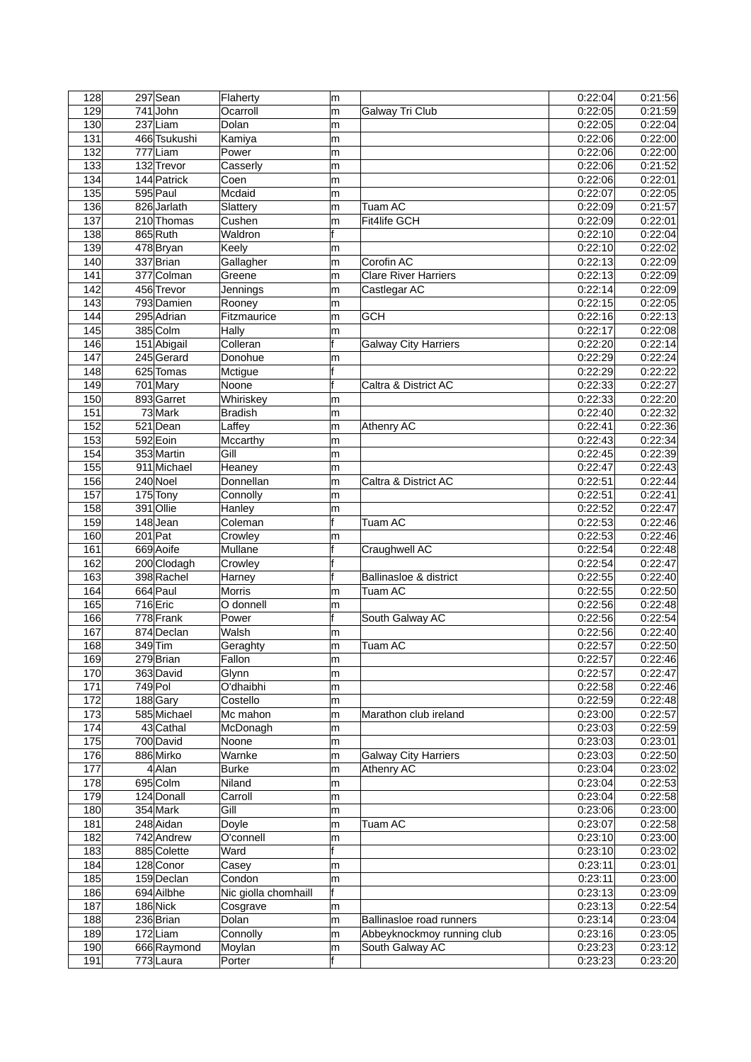| 128 | 297 Sean      | Flaherty             | m |                                 | 0:22:04 | 0:21:56 |
|-----|---------------|----------------------|---|---------------------------------|---------|---------|
| 129 | 741John       | Ocarroll             | m | Galway Tri Club                 | 0:22:05 | 0:21:59 |
| 130 | 237 Liam      | Dolan                | m |                                 | 0:22:05 | 0:22:04 |
| 131 | 466 Tsukushi  | Kamiya               | m |                                 | 0:22:06 | 0:22:00 |
| 132 | $777$ Liam    | Power                | m |                                 | 0:22:06 | 0:22:00 |
| 133 | 132 Trevor    | Casserly             | m |                                 | 0:22:06 | 0:21:52 |
| 134 | 144 Patrick   | Coen                 | m |                                 | 0:22:06 | 0:22:01 |
| 135 | $595$ Paul    | Mcdaid               | m |                                 | 0:22:07 | 0:22:05 |
| 136 | 826 Jarlath   | Slattery             | m | <b>Tuam AC</b>                  | 0:22:09 | 0:21:57 |
| 137 | 210 Thomas    | Cushen               | m | <b>Fit4life GCH</b>             | 0:22:09 | 0:22:01 |
| 138 | 865 Ruth      | Waldron              | f |                                 | 0:22:10 | 0:22:04 |
| 139 | 478Bryan      | Keely                | m |                                 | 0:22:10 | 0:22:02 |
| 140 | 337 Brian     | Gallagher            | m | Corofin AC                      | 0:22:13 | 0:22:09 |
| 141 | 377 Colman    | Greene               | m | <b>Clare River Harriers</b>     | 0:22:13 | 0:22:09 |
| 142 | 456 Trevor    | Jennings             | m | Castlegar AC                    | 0:22:14 | 0:22:09 |
| 143 | 793 Damien    | Rooney               | m |                                 | 0:22:15 | 0:22:05 |
| 144 | 295 Adrian    | Fitzmaurice          | m | <b>GCH</b>                      | 0:22:16 | 0:22:13 |
| 145 | 385 Colm      | Hally                | m |                                 | 0:22:17 | 0:22:08 |
| 146 | $151$ Abigail | Colleran             | f | <b>Galway City Harriers</b>     | 0:22:20 | 0:22:14 |
| 147 | 245 Gerard    | Donohue              | m |                                 | 0:22:29 | 0:22:24 |
| 148 | 625 Tomas     | Mctigue              | f |                                 | 0:22:29 | 0:22:22 |
| 149 | $701$ Mary    | Noone                | f | Caltra & District AC            | 0:22:33 | 0:22:27 |
| 150 | 893 Garret    | Whiriskey            | m |                                 | 0:22:33 | 0:22:20 |
| 151 | 73 Mark       | <b>Bradish</b>       | m |                                 | 0:22:40 | 0:22:32 |
| 152 | $521$ Dean    | Laffey               | m | Athenry AC                      | 0:22:41 | 0:22:36 |
| 153 | 592 Eoin      | Mccarthy             | m |                                 | 0:22:43 | 0:22:34 |
| 154 | 353 Martin    | Gill                 | m |                                 | 0:22:45 | 0:22:39 |
| 155 | 911 Michael   | Heaney               | m |                                 | 0:22:47 | 0:22:43 |
| 156 | 240 Noel      | Donnellan            | m | Caltra & District AC            | 0:22:51 | 0:22:44 |
| 157 | 175 Tony      | Connolly             | m |                                 | 0:22:51 | 0:22:41 |
| 158 | 391 Ollie     | Hanley               | m |                                 | 0:22:52 | 0:22:47 |
| 159 | $148$ Jean    | Coleman              | f | Tuam AC                         | 0:22:53 | 0:22:46 |
| 160 | $201$ Pat     | Crowley              | m |                                 | 0:22:53 | 0:22:46 |
| 161 | 669 Aoife     | Mullane              | f | Craughwell AC                   | 0:22:54 | 0:22:48 |
| 162 | 200 Clodagh   | Crowley              | f |                                 | 0.22:54 | 0:22:47 |
| 163 | 398 Rachel    | Harney               | f | Ballinasloe & district          | 0:22:55 | 0:22:40 |
| 164 | 664 Paul      | <b>Morris</b>        | m | Tuam AC                         | 0:22:55 | 0:22:50 |
| 165 | 716 Eric      | O donnell            | m |                                 | 0:22:56 | 0:22:48 |
| 166 | 778 Frank     | Power                | f | South Galway AC                 | 0:22:56 | 0:22:54 |
| 167 | 874 Declan    | Walsh                | m |                                 | 0:22:56 | 0:22:40 |
| 168 | 349 Tim       | Geraghty             | m | <b>Tuam AC</b>                  | 0:22:57 | 0.22:50 |
| 169 | 279 Brian     | Fallon               | m |                                 | 0:22:57 | 0:22:46 |
| 170 | 363 David     | Glynn                | m |                                 | 0:22:57 | 0.22:47 |
| 171 | $749$ Pol     | O'dhaibhi            | m |                                 | 0:22:58 | 0.22:46 |
| 172 | 188 Gary      | Costello             | m |                                 | 0:22:59 | 0.22:48 |
| 173 | 585 Michael   | Mc mahon             | m | Marathon club ireland           | 0:23:00 | 0:22:57 |
| 174 | 43 Cathal     | McDonagh             | m |                                 | 0:23:03 | 0:22:59 |
| 175 | 700 David     | Noone                | m |                                 | 0:23:03 | 0:23:01 |
| 176 | 886 Mirko     | Warnke               | m | <b>Galway City Harriers</b>     | 0:23:03 | 0:22:50 |
| 177 | $4$ Alan      | <b>Burke</b>         | m | Athenry AC                      | 0:23:04 | 0:23:02 |
| 178 | 695 Colm      | Niland               | m |                                 | 0:23:04 | 0:22:53 |
| 179 | 124 Donall    | Carroll              | m |                                 | 0:23:04 | 0:22:58 |
| 180 | 354 Mark      | Gill                 | m |                                 | 0:23:06 | 0:23:00 |
| 181 | 248 Aidan     | Doyle                | m | Tuam AC                         | 0:23:07 | 0.22:58 |
| 182 | 742 Andrew    | O'connell            | m |                                 | 0:23:10 | 0.23:00 |
| 183 | 885 Colette   | Ward                 | f |                                 | 0:23:10 | 0:23:02 |
| 184 | 128 Conor     | Casey                | m |                                 | 0.23:11 | 0.23:01 |
| 185 | 159 Declan    | Condon               | m |                                 | 0:23:11 | 0:23:00 |
| 186 | 694 Ailbhe    | Nic giolla chomhaill | f |                                 | 0:23:13 | 0.23:09 |
| 187 | 186 Nick      | Cosgrave             | m |                                 | 0:23:13 | 0.22:54 |
| 188 | 236 Brian     | Dolan                | m | <b>Ballinasloe road runners</b> | 0:23:14 | 0:23:04 |
| 189 | $172$ Liam    | Connolly             | m | Abbeyknockmoy running club      | 0.23.16 | 0.23:05 |
| 190 | 666 Raymond   | Moylan               | m | South Galway AC                 | 0.23.23 | 0:23:12 |
| 191 | 773 Laura     | Porter               | f |                                 | 0:23:23 | 0:23:20 |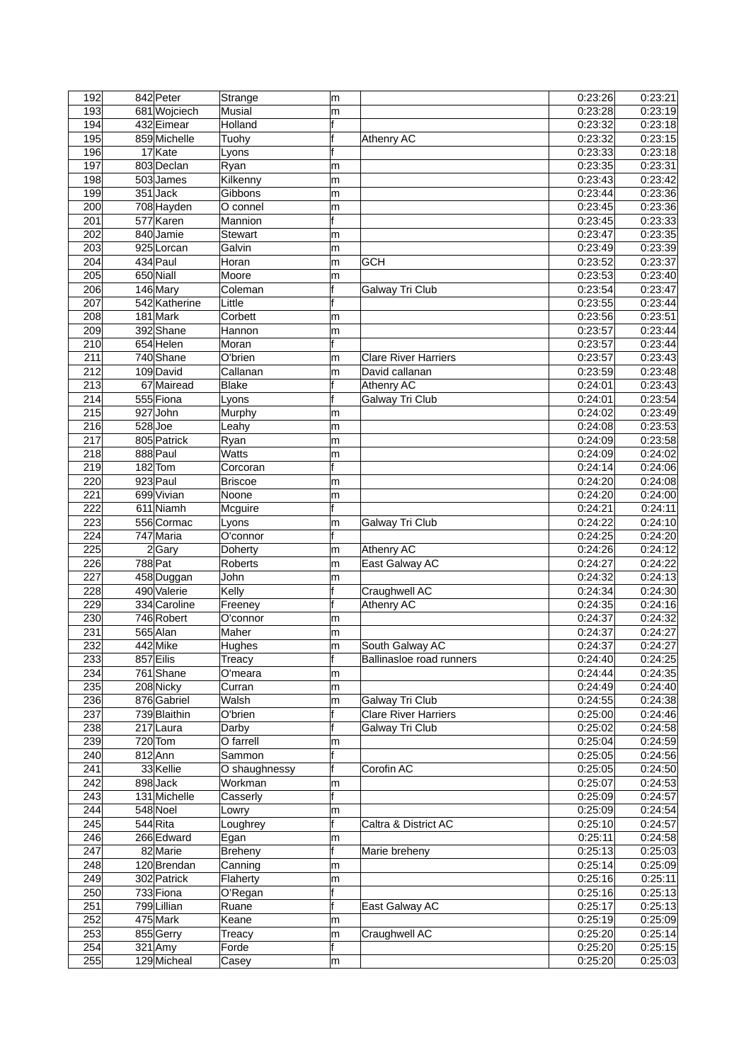| 192 | 842 Peter     | Strange        | m   |                             | 0:23:26 | 0:23:21 |
|-----|---------------|----------------|-----|-----------------------------|---------|---------|
| 193 | 681 Wojciech  | Musial         | m   |                             | 0:23:28 | 0:23:19 |
| 194 | 432 Eimear    | Holland        | f   |                             | 0:23:32 | 0.23:18 |
| 195 | 859 Michelle  | Tuohy          | f   | Athenry AC                  | 0:23:32 | 0:23:15 |
| 196 | 17 Kate       | Lyons          | f   |                             | 0:23:33 | 0:23:18 |
| 197 | 803 Declan    | Ryan           | m   |                             | 0:23:35 | 0:23:31 |
| 198 | 503 James     | Kilkenny       | m   |                             | 0:23:43 | 0:23:42 |
| 199 | 351 Jack      | Gibbons        | m   |                             | 0.23.44 | 0:23:36 |
| 200 | 708 Hayden    | O connel       | m   |                             | 0:23:45 | 0:23:36 |
| 201 | 577 Karen     | Mannion        | f   |                             | 0:23:45 | 0:23:33 |
| 202 | 840 Jamie     | <b>Stewart</b> | m   |                             | 0:23:47 | 0:23:35 |
| 203 | 925 Lorcan    | Galvin         | m   |                             | 0:23:49 | 0:23:39 |
| 204 | 434 Paul      | Horan          | m   | <b>GCH</b>                  | 0:23:52 | 0:23:37 |
| 205 | 650 Niall     | Moore          | m   |                             | 0:23:53 | 0:23:40 |
| 206 | $146$ Mary    | Coleman        | f   | Galway Tri Club             | 0:23:54 | 0:23:47 |
| 207 | 542 Katherine | Little         | f   |                             | 0:23:55 | 0:23:44 |
| 208 | $181$ Mark    | Corbett        | m   |                             | 0:23:56 | 0:23:51 |
| 209 | 392 Shane     | Hannon         | m   |                             | 0:23:57 | 0:23:44 |
| 210 | 654 Helen     | Moran          | f   |                             | 0:23:57 | 0:23:44 |
| 211 | $740$ Shane   | O'brien        | m   | <b>Clare River Harriers</b> | 0:23:57 | 0:23:43 |
| 212 | 109 David     | Callanan       | m   | David callanan              | 0:23:59 | 0.23:48 |
| 213 | 67 Mairead    | Blake          | f   | Athenry AC                  | 0:24:01 | 0:23:43 |
| 214 | 555 Fiona     | Lyons          | f   | Galway Tri Club             | 0:24:01 | 0:23:54 |
| 215 | 927John       | Murphy         | m   |                             | 0:24:02 | 0:23:49 |
| 216 | $528$ Joe     | Leahy          | m   |                             | 0.24.08 | 0:23:53 |
| 217 | 805 Patrick   | Ryan           | m   |                             | 0.24.09 | 0:23:58 |
| 218 | 888 Paul      | <b>Watts</b>   | m   |                             | 0:24:09 | 0:24:02 |
| 219 | $182$ Tom     | Corcoran       | f   |                             | 0:24:14 | 0:24:06 |
| 220 | $923$ Paul    | <b>Briscoe</b> | m   |                             | 0:24:20 | 0:24:08 |
| 221 | 699 Vivian    | Noone          | m   |                             | 0.24.20 | 0:24:00 |
| 222 | 611 Niamh     | Mcguire        | f   |                             | 0:24:21 | 0:24:11 |
| 223 | 556 Cormac    | Lyons          | m   | Galway Tri Club             | 0:24:22 | 0.24:10 |
| 224 | 747 Maria     | O'connor       | f   |                             | 0:24:25 | 0:24:20 |
| 225 | 2 Gary        | Doherty        | m   | <b>Athenry AC</b>           | 0:24:26 | 0:24:12 |
| 226 | 788 Pat       | <b>Roberts</b> | m   | East Galway AC              | 0.24.27 | 0:24:22 |
| 227 | 458 Duggan    | John           | m   |                             | 0:24:32 | 0:24:13 |
| 228 | 490 Valerie   | Kelly          | f   | Craughwell AC               | 0:24:34 | 0.24:30 |
| 229 | 334 Caroline  | Freeney        | f   | Athenry AC                  | 0:24:35 | 0:24:16 |
| 230 | 746 Robert    | O'connor       | m   |                             | 0:24:37 | 0:24:32 |
| 231 | 565 Alan      | Maher          | m   |                             | 0:24:37 | 0:24:27 |
| 232 | 442 Mike      | Hughes         | m   | South Galway AC             | 0:24:37 | 0.24.27 |
| 233 | 857 Eilis     | Treacy         | t   | Ballinasloe road runners    | 0:24:40 | 0:24:25 |
| 234 | 761 Shane     | O'meara        | m   |                             | 0:24:44 | 0.24.35 |
| 235 | 208 Nicky     | Curran         | m   |                             | 0:24:49 | 0.24:40 |
| 236 | 876 Gabriel   | Walsh          | m   | Galway Tri Club             | 0:24:55 | 0.24.38 |
| 237 | 739 Blaithin  | O'brien        | lf. | <b>Clare River Harriers</b> | 0:25:00 | 0.24.46 |
| 238 | 217 Laura     | Darby          | f   | Galway Tri Club             | 0:25:02 | 0.24.58 |
| 239 | $720$ Tom     | O farrell      | m   |                             | 0:25:04 | 0:24:59 |
| 240 | $812$ Ann     | Sammon         | f   |                             | 0:25:05 | 0.24:56 |
| 241 | 33 Kellie     | O shaughnessy  | f   | Corofin AC                  | 0:25:05 | 0.24:50 |
| 242 | 898Jack       | Workman        | m   |                             | 0:25:07 | 0.24.53 |
| 243 | 131 Michelle  | Casserly       | f   |                             | 0:25:09 | 0.24.57 |
| 244 | 548 Noel      | Lowry          | m   |                             | 0:25:09 | 0:24:54 |
| 245 | $544$ Rita    | Loughrey       |     | Caltra & District AC        | 0:25:10 | 0.24.57 |
| 246 | 266 Edward    | Egan           | m   |                             | 0.25:11 | 0.24:58 |
| 247 | 82 Marie      | Breheny        | f   | Marie breheny               | 0.25:13 | 0.25:03 |
| 248 | 120 Brendan   | Canning        | m   |                             | 0:25:14 | 0:25:09 |
| 249 | 302 Patrick   | Flaherty       | m   |                             | 0:25:16 | 0:25:11 |
| 250 | 733 Fiona     | O'Regan        | f   |                             | 0:25:16 | 0.25:13 |
| 251 | 799 Lillian   | Ruane          | f   | East Galway AC              | 0:25:17 | 0:25:13 |
| 252 | 475 Mark      | Keane          | m   |                             | 0:25:19 | 0.25:09 |
| 253 | 855 Gerry     | Treacy         | m   | Craughwell AC               | 0:25:20 | 0.25:14 |
| 254 | $321$ Amy     | Forde          | f   |                             | 0:25:20 | 0:25:15 |
| 255 | 129 Micheal   | Casey          | m   |                             | 0.25.20 | 0:25:03 |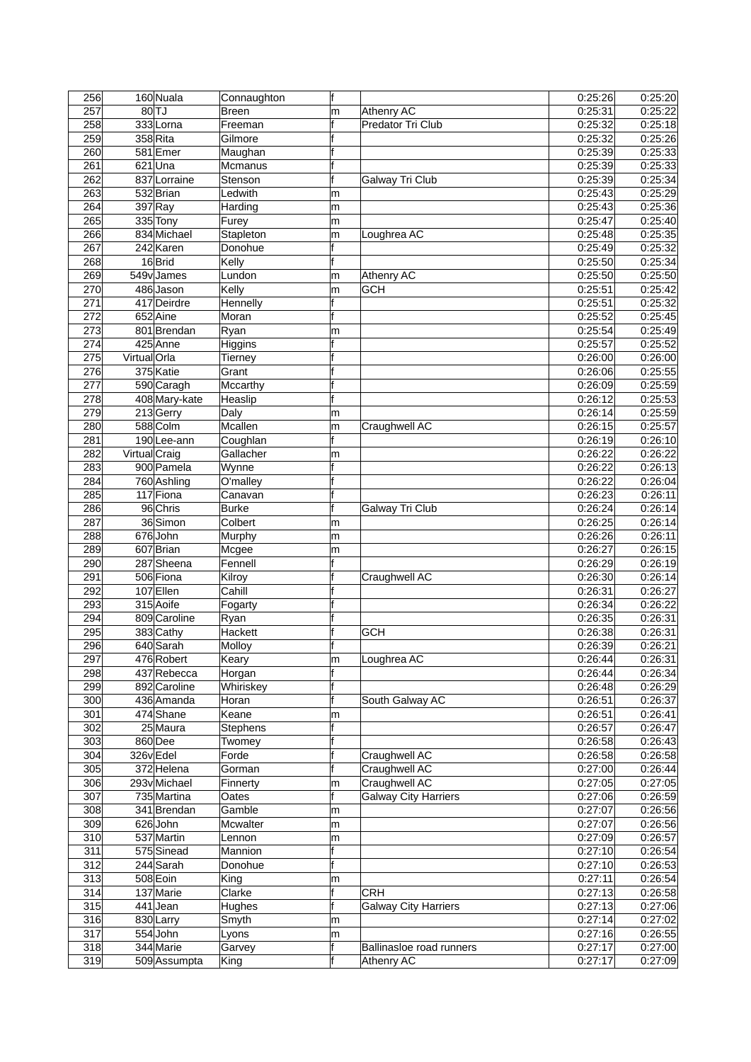| 256 |               | 160 Nuala          | Connaughton  | f  |                             | 0:25:26 | 0.25:20 |
|-----|---------------|--------------------|--------------|----|-----------------------------|---------|---------|
| 257 |               | $80$ <sup>TJ</sup> | <b>Breen</b> | m  | Athenry AC                  | 0:25:31 | 0:25:22 |
| 258 |               | 333Lorna           | Freeman      | f  | Predator Tri Club           | 0.25.32 | 0.25:18 |
| 259 |               | 358 Rita           | Gilmore      | f  |                             | 0:25:32 | 0:25:26 |
| 260 |               | 581 Emer           | Maughan      | lf |                             | 0:25:39 | 0:25:33 |
| 261 |               | $621$ Una          | Mcmanus      | f  |                             | 0:25:39 | 0:25:33 |
| 262 |               | 837 Lorraine       | Stenson      | f  | Galway Tri Club             | 0:25:39 | 0:25:34 |
| 263 |               | 532 Brian          | Ledwith      | m  |                             | 0.25.43 | 0:25:29 |
| 264 |               | $397$ Ray          | Harding      | m  |                             | 0:25:43 | 0:25:36 |
| 265 |               | 335 Tony           | Furey        | m  |                             | 0:25:47 | 0.25:40 |
| 266 |               | 834 Michael        | Stapleton    | m  | Loughrea AC                 | 0:25:48 | 0:25:35 |
| 267 |               | 242 Karen          | Donohue      |    |                             | 0:25:49 | 0:25:32 |
| 268 |               | $16$ Brid          | Kelly        | f  |                             | 0:25:50 | 0:25:34 |
| 269 |               |                    | Lundon       |    |                             |         | 0:25:50 |
|     |               | 549vJames          |              | m  | Athenry AC                  | 0:25:50 |         |
| 270 |               | 486 Jason          | Kelly        | m  | <b>GCH</b>                  | 0.25.51 | 0:25:42 |
| 271 |               | 417 Deirdre        | Hennelly     | f  |                             | 0.25:51 | 0:25:32 |
| 272 |               | 652 Aine           | Moran        | f  |                             | 0:25:52 | 0:25:45 |
| 273 |               | 801 Brendan        | Ryan         | m  |                             | 0:25:54 | 0.25:49 |
| 274 |               | 425 Anne           | Higgins      | f  |                             | 0:25:57 | 0:25:52 |
| 275 | VirtualOrla   |                    | Tierney      | f  |                             | 0.26:00 | 0:26:00 |
| 276 |               | 375 Katie          | Grant        | f  |                             | 0:26:06 | 0.25:55 |
| 277 |               | 590 Caragh         | Mccarthy     | f  |                             | 0:26:09 | 0:25:59 |
| 278 |               | 408 Mary-kate      | Heaslip      | f  |                             | 0:26:12 | 0:25:53 |
| 279 |               | 213 Gerry          | Daly         | m  |                             | 0.26.14 | 0:25:59 |
| 280 |               | 588 Colm           | Mcallen      | m  | Craughwell AC               | 0:26:15 | 0:25:57 |
| 281 |               | 190Lee-ann         | Coughlan     | f  |                             | 0:26:19 | 0:26:10 |
| 282 | Virtual Craig |                    | Gallacher    | m  |                             | 0:26:22 | 0:26:22 |
| 283 |               | 900 Pamela         | Wynne        | f  |                             | 0:26:22 | 0:26:13 |
| 284 |               | 760 Ashling        | O'malley     | f  |                             | 0.26:22 | 0:26:04 |
| 285 |               | 117 Fiona          |              | f  |                             | 0:26:23 | 0:26:11 |
|     |               |                    | Canavan      | f  |                             |         |         |
| 286 |               | 96 Chris           | <b>Burke</b> |    | Galway Tri Club             | 0:26:24 | 0.26:14 |
| 287 |               | 36 Simon           | Colbert      | m  |                             | 0:26:25 | 0:26:14 |
| 288 |               | 676John            | Murphy       | m  |                             | 0:26:26 | 0:26:11 |
| 289 |               | 607 Brian          | Mcgee        | m  |                             | 0:26:27 | 0:26:15 |
| 290 |               | 287 Sheena         | Fennell      | f  |                             | 0:26:29 | 0:26:19 |
| 291 |               | 506 Fiona          | Kilroy       | f  | Craughwell AC               | 0.26.30 | 0.26:14 |
| 292 |               | 107 Ellen          | Cahill       | f  |                             | 0.26.31 | 0:26:27 |
| 293 |               | 315 Aoife          | Fogarty      | f  |                             | 0:26:34 | 0:26:22 |
| 294 |               | 809 Caroline       | Ryan         | f  |                             | 0:26:35 | 0:26:31 |
| 295 |               | 383 Cathy          | Hackett      | f  | <b>GCH</b>                  | 0:26:38 | 0.26:31 |
| 296 |               | 640 Sarah          | Molloy       |    |                             | 0:26:39 | 0.26:21 |
| 297 |               | 476 Robert         | Keary        | ∣m | Loughrea AC                 | 0:26:44 | 0:26:31 |
| 298 |               | 437 Rebecca        | Horgan       | f  |                             | 0:26:44 | 0:26:34 |
| 299 |               | 892 Caroline       | Whiriskey    | f  |                             | 0:26:48 | 0.26:29 |
| 300 |               | 436 Amanda         | Horan        | f  | South Galway AC             | 0.26.51 | 0:26:37 |
| 301 |               | 474 Shane          | Keane        | m  |                             | 0.26.51 | 0.26:41 |
| 302 |               | 25 Maura           | Stephens     | f  |                             | 0:26:57 | 0:26:47 |
|     |               |                    |              | f  |                             |         |         |
| 303 |               | 860 Dee            | Twomey       | f  |                             | 0:26:58 | 0:26:43 |
| 304 | 326v Edel     |                    | Forde        |    | Craughwell AC               | 0:26:58 | 0.26:58 |
| 305 |               | 372 Helena         | Gorman       | f  | Craughwell AC               | 0:27:00 | 0.26:44 |
| 306 |               | 293vMichael        | Finnerty     | m  | Craughwell AC               | 0:27:05 | 0.27:05 |
| 307 |               | 735 Martina        | Oates        | f  | <b>Galway City Harriers</b> | 0:27:06 | 0.26:59 |
| 308 |               | 341 Brendan        | Gamble       | m  |                             | 0:27:07 | 0:26:56 |
| 309 |               | $626$ John         | Mcwalter     | m  |                             | 0:27:07 | 0.26:56 |
| 310 |               | 537 Martin         | Lennon       | m  |                             | 0:27:09 | 0:26:57 |
| 311 |               | 575 Sinead         | Mannion      | f  |                             | 0:27:10 | 0:26:54 |
| 312 |               | 244 Sarah          | Donohue      | f  |                             | 0:27:10 | 0.26:53 |
| 313 |               | 508 Eoin           | King         | m  |                             | 0:27:11 | 0:26:54 |
| 314 |               | 137 Marie          | Clarke       | f  | <b>CRH</b>                  | 0:27:13 | 0.26:58 |
| 315 |               | $441$ Jean         | Hughes       | f  | <b>Galway City Harriers</b> | 0:27:13 | 0.27:06 |
| 316 |               | 830 Larry          | Smyth        | m  |                             | 0:27:14 | 0:27:02 |
| 317 |               | 554 John           | Lyons        | m  |                             | 0.27.16 | 0.26.55 |
| 318 |               | 344 Marie          | Garvey       | f  | Ballinasloe road runners    | 0:27:17 | 0.27:00 |
| 319 |               | 509 Assumpta       |              | f  | Athenry AC                  | 0:27:17 | 0.27:09 |
|     |               |                    | King         |    |                             |         |         |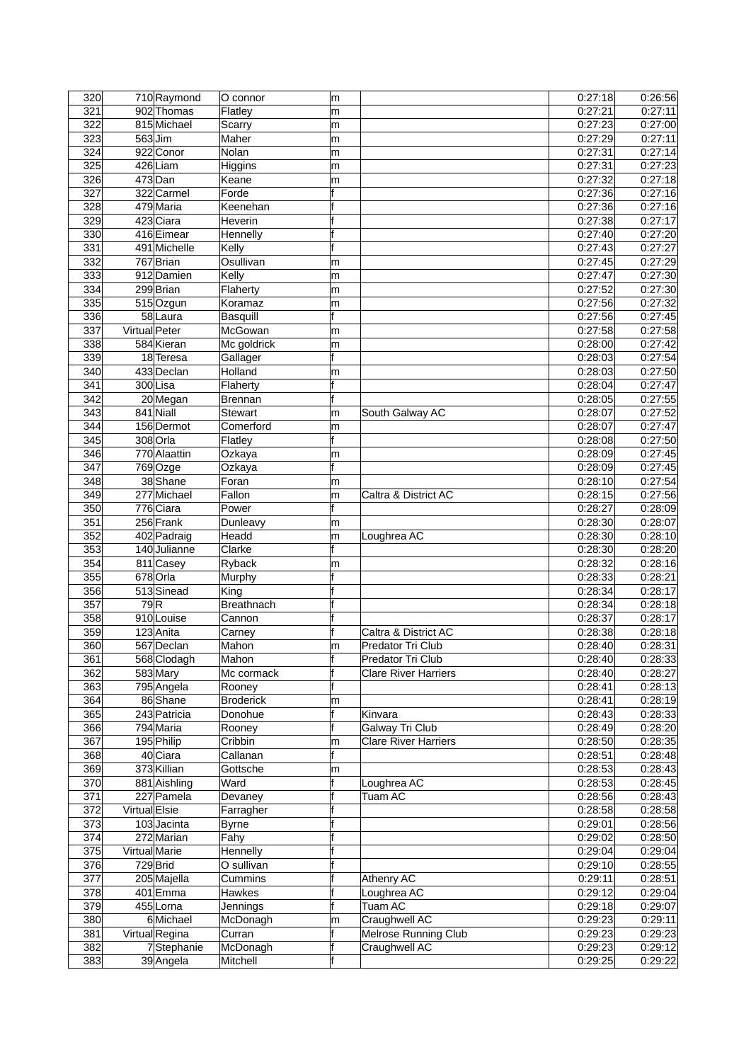| 320              |               | 710 Raymond    | O connor        | m   |                             | 0:27:18 | 0:26:56 |
|------------------|---------------|----------------|-----------------|-----|-----------------------------|---------|---------|
| 321              |               | 902 Thomas     | Flatley         | m   |                             | 0:27:21 | 0:27:11 |
| 322              |               | 815 Michael    | Scarry          | m   |                             | 0.27:23 | 0:27:00 |
| 323              |               | $563$ Jim      | Maher           | m   |                             | 0.27.29 | 0:27:11 |
| 324              |               | 922 Conor      | Nolan           | m   |                             | 0.27.31 | 0:27:14 |
| 325              |               | $426$ Liam     | Higgins         | m   |                             | 0:27:31 | 0:27:23 |
| 326              |               | $473$ Dan      | Keane           | m   |                             | 0:27:32 | 0:27:18 |
| 327              |               | 322 Carmel     | Forde           | f   |                             | 0.27.36 | 0:27:16 |
| 328              |               | 479 Maria      | Keenehan        | f   |                             | 0:27:36 | 0:27:16 |
| 329              |               | 423 Ciara      | Heverin         | f   |                             | 0.27.38 | 0:27:17 |
| 330              |               | 416 Eimear     | Hennelly        | f   |                             | 0:27:40 | 0:27:20 |
| 331              |               | 491 Michelle   | Kelly           | f   |                             | 0:27:43 | 0:27:27 |
| 332              |               | 767 Brian      | Osullivan       | m   |                             | 0:27:45 | 0:27:29 |
| 333              |               | 912 Damien     | Kelly           | m   |                             | 0.27.47 | 0:27:30 |
| 334              |               | 299 Brian      | Flaherty        | m   |                             | 0:27:52 | 0:27:30 |
| 335              |               | 515 Ozgun      | Koramaz         | m   |                             | 0:27:56 | 0:27:32 |
| 336              |               | $58$ Laura     | <b>Basquill</b> | f   |                             | 0:27:56 | 0:27:45 |
| 337              | Virtual Peter |                | McGowan         | m   |                             | 0:27:58 | 0:27:58 |
| 338              |               | 584 Kieran     | Mc goldrick     | m   |                             | 0.28:00 | 0:27:42 |
| 339              |               | 18 Teresa      | Gallager        | f   |                             | 0.28.03 | 0:27:54 |
| 340              |               | 433 Declan     | Holland         | m   |                             | 0:28:03 | 0:27:50 |
| 341              |               | 300Lisa        | Flaherty        | f   |                             | 0:28:04 | 0:27:47 |
| 342              |               | 20 Megan       | <b>Brennan</b>  | f   |                             | 0:28:05 | 0:27:55 |
| 343              |               | 841 Niall      | Stewart         | m   | South Galway AC             | 0:28:07 | 0:27:52 |
| 344              |               | 156 Dermot     | Comerford       | m   |                             | 0:28:07 | 0:27:47 |
| 345              |               | 308 Orla       | Flatley         | f   |                             | 0:28:08 | 0:27:50 |
| 346              |               | 770 Alaattin   | Ozkaya          | m   |                             | 0:28:09 | 0:27:45 |
| $\overline{347}$ |               | $769$ Ozge     | Ozkaya          | f   |                             | 0:28:09 | 0:27:45 |
| 348              |               | 38 Shane       | Foran           | m   |                             | 0.28.10 | 0:27:54 |
| 349              |               | 277 Michael    | Fallon          | m   | Caltra & District AC        | 0:28:15 | 0:27:56 |
| 350              |               | 776 Ciara      | Power           | f   |                             | 0:28:27 | 0.28:09 |
| 351              |               | 256 Frank      | Dunleavy        | m   |                             | 0:28:30 | 0:28:07 |
| 352              |               | 402 Padraig    | Headd           | m   | Loughrea AC                 | 0:28:30 | 0:28:10 |
| 353              |               | 140 Julianne   | Clarke          | f   |                             | 0:28:30 | 0:28:20 |
| 354              |               | 811 Casey      | Ryback          | m   |                             | 0:28:32 | 0:28:16 |
| 355              |               | 678 Orla       | Murphy          | f   |                             | 0:28:33 | 0:28:21 |
| 356              |               | 513 Sinead     | King            | f   |                             | 0:28:34 | 0:28:17 |
| $\overline{357}$ | 79R           |                | Breathnach      | f   |                             | 0:28:34 | 0:28:18 |
| 358              |               | 910 Louise     | Cannon          | f   |                             | 0:28:37 | 0:28:17 |
| 359              |               | 123 Anita      | Carney          | f   | Caltra & District AC        | 0.28.38 | 0.28:18 |
| 360              |               | 567 Declan     | Mahon           | m   | Predator Tri Club           | 0:28:40 | 0.28:31 |
| 361              |               | 568 Clodagh    | Mahon           | lt. | Predator Tri Club           | 0:28:40 | 0:28:33 |
| 362              |               | 583 Mary       | Mc cormack      | f   | <b>Clare River Harriers</b> | 0:28:40 | 0:28:27 |
| 363              |               | 795 Angela     | Rooney          |     |                             | 0:28:41 | 0:28:13 |
| 364              |               | 86 Shane       | Broderick       | m   |                             | 0.28.41 | 0.28:19 |
| 365              |               | 243 Patricia   | Donohue         | f   | Kinvara                     | 0:28:43 | 0.28.33 |
| 366              |               | 794 Maria      | Rooney          | f   | <b>Galway Tri Club</b>      | 0:28:49 | 0:28:20 |
| 367              |               | 195 Philip     | Cribbin         | m   | <b>Clare River Harriers</b> | 0:28:50 | 0:28:35 |
| 368              |               | 40 Ciara       | Callanan        |     |                             | 0:28:51 | 0.28:48 |
| 369              |               | 373 Killian    | Gottsche        | m   |                             | 0:28:53 | 0.28:43 |
| 370              |               | 881 Aishling   | Ward            | f   | Loughrea AC                 | 0:28:53 | 0.28:45 |
| 371              |               | 227 Pamela     | Devaney         | lf  | Tuam AC                     | 0:28:56 | 0:28:43 |
| 372              | Virtual Elsie |                | Farragher       | f   |                             | 0:28:58 | 0:28:58 |
| 373              |               | 103 Jacinta    | <b>Byrne</b>    | f   |                             | 0:29:01 | 0.28:56 |
| 374              |               | 272 Marian     | Fahy            | f   |                             | 0:29:02 | 0.28:50 |
| 375              | Virtual Marie |                | Hennelly        | f   |                             | 0:29:04 | 0.29:04 |
| 376              |               | 729 Brid       | O sullivan      |     |                             | 0:29:10 | 0.28:55 |
| 377              |               | 205 Majella    | Cummins         | f   | <b>Athenry AC</b>           | 0:29:11 | 0.28:51 |
| 378              |               | 401 Emma       | Hawkes          | f   | Loughrea AC                 | 0:29:12 | 0:29:04 |
| 379              |               | 455 Lorna      | Jennings        | f   | <b>Tuam AC</b>              | 0:29:18 | 0:29:07 |
| 380              |               | 6Michael       | McDonagh        | m   | Craughwell AC               | 0.29:23 | 0.29.11 |
| 381              |               | Virtual Regina | Curran          | f   | Melrose Running Club        | 0.29.23 | 0.29.23 |
| 382              |               | 7Stephanie     | McDonagh        | f   | Craughwell AC               | 0:29:23 | 0:29:12 |
| 383              |               | 39 Angela      | Mitchell        | f   |                             | 0:29:25 | 0:29:22 |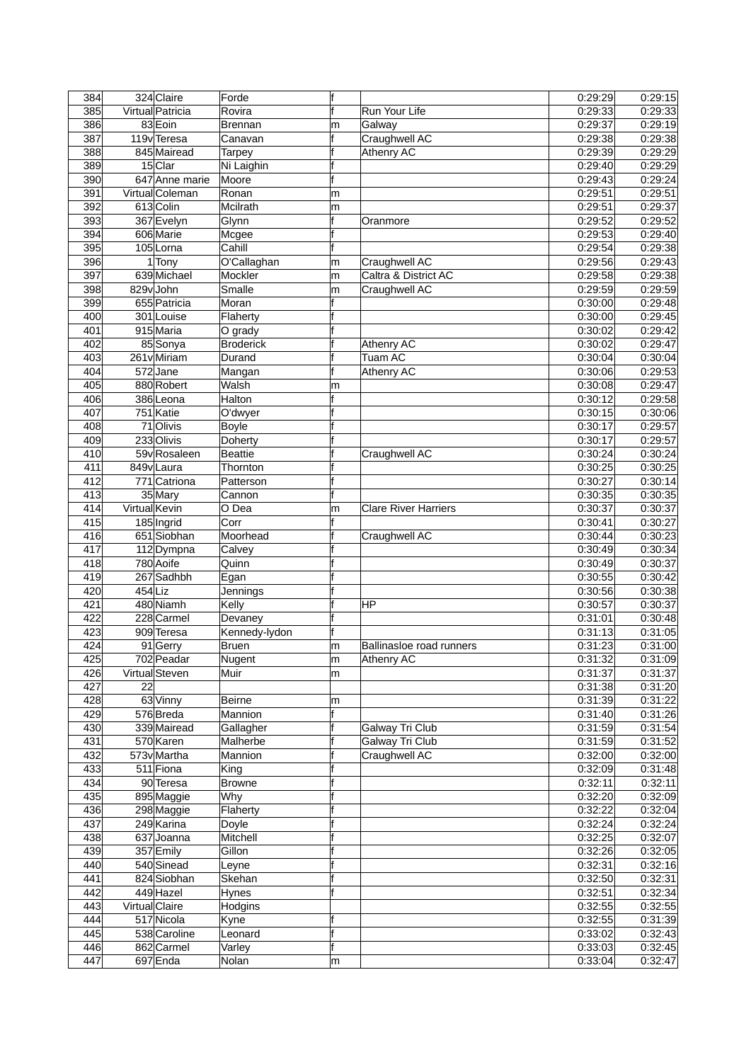| 384        |                 | 324 Claire                | Forde                | f      |                                  | 0:29:29            | 0.29:15            |
|------------|-----------------|---------------------------|----------------------|--------|----------------------------------|--------------------|--------------------|
| 385        |                 | Virtual Patricia          | Rovira               | f      | Run Your Life                    | 0:29:33            | 0:29:33            |
| 386        |                 | 83 Eoin                   | <b>Brennan</b>       | m      | Galway                           | 0:29:37            | 0:29:19            |
| 387        |                 | 119 <sub>v</sub> Teresa   | Canavan              | f      | Craughwell AC                    | 0:29:38            | 0:29:38            |
| 388        |                 | 845 Mairead               | Tarpey               | f      | <b>Athenry AC</b>                | 0:29:39            | 0:29:29            |
| 389        |                 | $15$ Clar                 | Ni Laighin           | f      |                                  | 0:29:40            | 0:29:29            |
| 390        |                 | 647 Anne marie            | Moore                | f      |                                  | 0:29:43            | 0:29:24            |
| 391        |                 | Virtual Coleman           | Ronan                | m      |                                  | 0:29:51            | 0:29:51            |
| 392        |                 | 613 Colin                 | Mcilrath             | m      |                                  | 0:29:51            | 0:29:37            |
| 393        |                 | 367 Evelyn                | Glynn                | lf     | Oranmore                         | 0:29:52            | 0:29:52            |
| 394        |                 | 606 Marie                 | Mcgee                | f      |                                  | 0:29:53            | 0:29:40            |
| 395        |                 | 105 Lorna                 | Cahill               | f      |                                  | 0:29:54            | 0:29:38            |
| 396        |                 | $1$ Tony                  | O'Callaghan          | m      | Craughwell AC                    | 0:29:56            | 0:29:43            |
| 397        |                 | 639 Michael               | Mockler              | m      | Caltra & District AC             | 0:29:58            | 0:29:38            |
| 398        |                 | 829vJohn                  | Smalle               | m      | Craughwell AC                    | 0:29:59            | 0:29:59            |
| 399        |                 | 655 Patricia              | Moran                | f      |                                  | 0.30:00            | 0.29:48            |
| 400        |                 | 301 Louise                | Flaherty             | f      |                                  | 0:30:00            | 0:29:45            |
| 401        |                 | 915 Maria                 | O grady              | f      |                                  | 0:30:02            | 0:29:42            |
| 402        |                 | 85 Sonya                  | <b>Broderick</b>     | f      | Athenry AC                       | 0:30:02            | 0:29:47            |
| 403        |                 | 261v Miriam               | Durand               | f      | <b>Tuam AC</b>                   | 0:30:04            | 0.30:04            |
| 404        |                 | 572Jane                   | Mangan               | f      | <b>Athenry AC</b>                | 0:30:06            | 0.29:53            |
| 405        |                 | 880 Robert                | Walsh                | m      |                                  | 0:30:08            | 0:29:47            |
| 406        |                 | 386 Leona                 | Halton               | f      |                                  | 0:30:12            | 0:29:58            |
| 407        |                 | 751 Katie                 | O'dwyer              | f      |                                  | 0:30:15            | 0:30:06            |
| 408        |                 | 71 Olivis                 | <b>Boyle</b>         |        |                                  | 0.30:17            | 0:29:57            |
| 409        |                 | 233 Olivis                | Doherty              | f      |                                  | 0:30:17            | 0:29:57            |
| 410        |                 | 59vRosaleen               | <b>Beattie</b>       | f      | Craughwell AC                    | 0:30:24            | 0:30:24            |
| 411        |                 | 849vLaura                 | Thornton             |        |                                  | 0:30:25            | 0:30:25            |
| 412        |                 | $\overline{771}$ Catriona | Patterson            | f      |                                  | 0:30:27            | 0:30:14            |
| 413        |                 | 35 Mary                   | Cannon               | f      |                                  | 0:30:35            | 0:30:35            |
| 414        | Virtual Kevin   |                           | $\overline{O}$ Dea   | m      | <b>Clare River Harriers</b>      | 0:30:37            | 0:30:37            |
| 415        |                 | 185 Ingrid                | Corr                 | f      |                                  | 0:30:41            | 0:30:27            |
| 416        |                 | 651 Siobhan               | Moorhead             |        | Craughwell AC                    | 0:30:44            | 0:30:23            |
| 417        |                 | 112Dympna                 | Calvey               | f      |                                  | 0:30:49            | 0:30:34            |
| 418        |                 | 780 Aoife                 | Quinn                | f      |                                  | 0:30:49            | 0:30:37            |
| 419        |                 | 267 Sadhbh                | Egan                 | f      |                                  | 0:30:55            | 0:30:42            |
| 420        | $454$ Liz       |                           | Jennings             | f      |                                  | 0.30.56            | 0:30:38            |
| 421        |                 | 480 Niamh                 | Kelly                | f<br>f | ΙHΡ                              | 0:30:57            | 0:30:37            |
| 422        |                 | 228 Carmel                | Devaney              | f      |                                  | 0:31:01            | 0:30:48            |
| 423        |                 | 909 Teresa                | Kennedy-lydon        |        |                                  | 0:31:13            | 0.31:05            |
| 424        |                 | 91 Gerry                  | Bruen                | m      | Ballinasloe road runners         | 0:31:23            | 0.31:00            |
| 425        |                 | 702 Peadar                | Nugent               | m      | Athenry AC                       | 0:31:32            | 0:31:09            |
| 426        |                 | Virtual Steven            | Muir                 | m      |                                  | 0:31:37            | 0:31:37            |
| 427        | $\overline{22}$ |                           |                      |        |                                  | 0:31:38            | 0.31:20            |
| 428        |                 | 63 Vinny                  | Beirne               | m      |                                  | 0:31:39            | 0.31.22            |
| 429        |                 | 576Breda<br>339 Mairead   | Mannion              | f      |                                  | 0.31.40            | 0.31.26            |
| 430        |                 | 570 Karen                 | Gallagher            | f<br>f | Galway Tri Club                  | 0:31:59            | 0.31.54            |
| 431<br>432 |                 | 573v Martha               | Malherbe<br>Mannion  |        | Galway Tri Club<br>Craughwell AC | 0:31:59<br>0:32:00 | 0:31:52<br>0:32:00 |
| 433        |                 | 511 Fiona                 |                      | f      |                                  | 0:32:09            | 0.31:48            |
| 434        |                 | 90 Teresa                 | King                 | f      |                                  | 0.32:11            | 0:32:11            |
| 435        |                 |                           | <b>Browne</b><br>Why | f      |                                  | 0:32:20            | 0.32:09            |
| 436        |                 | 895 Maggie                | Flaherty             | f      |                                  | 0:32:22            |                    |
| 437        |                 | 298 Maggie<br>249 Karina  |                      | f      |                                  | 0:32:24            | 0:32:04<br>0.32:24 |
| 438        |                 | 637Joanna                 | Doyle<br>Mitchell    | f      |                                  | 0:32:25            | 0:32:07            |
| 439        |                 | 357 Emily                 | Gillon               | f      |                                  | 0:32:26            | 0.32:05            |
| 440        |                 | 540 Sinead                |                      | f      |                                  | 0:32:31            | 0.32:16            |
| 441        |                 |                           | Leyne                | f      |                                  |                    |                    |
|            |                 | 824 Siobhan               | Skehan               | f      |                                  | 0:32:50            | 0.32:31            |
| 442        | Virtual Claire  | 449 Hazel                 | Hynes                |        |                                  | 0:32:51<br>0:32:55 | 0:32:34            |
| 443        |                 |                           | Hodgins              | f      |                                  | 0:32:55            | 0.32:55            |
| 444        |                 | 517 Nicola                | Kyne                 | f      |                                  |                    | 0.31.39            |
| 445        |                 | 538 Caroline              | Leonard              | f      |                                  | 0:33:02            | 0.32:43            |
| 446        |                 | 862 Carmel                | Varley               |        |                                  | 0.33.03            | 0.32:45            |
| 447        |                 | $697$ Enda                | Nolan                | m      |                                  | 0.33.04            | 0.32:47            |